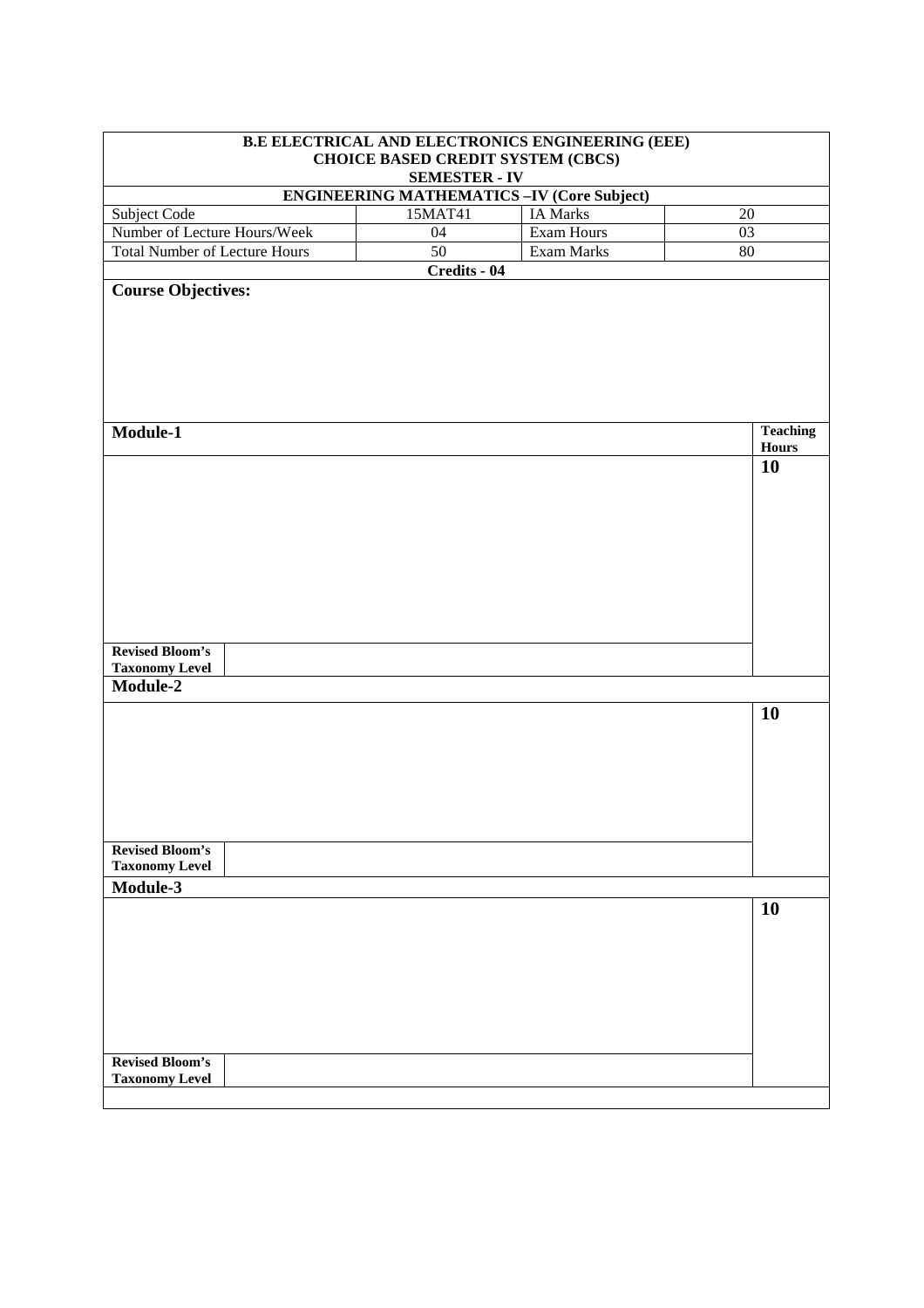| B.E ELECTRICAL AND ELECTRONICS ENGINEERING (EEE)<br><b>CHOICE BASED CREDIT SYSTEM (CBCS)</b><br><b>SEMESTER - IV</b> |                                                  |                 |                                 |
|----------------------------------------------------------------------------------------------------------------------|--------------------------------------------------|-----------------|---------------------------------|
|                                                                                                                      | <b>ENGINEERING MATHEMATICS-IV (Core Subject)</b> |                 |                                 |
| Subject Code                                                                                                         | 15MAT41                                          | <b>IA Marks</b> | 20                              |
| Number of Lecture Hours/Week                                                                                         | 04                                               | Exam Hours      | 03                              |
| <b>Total Number of Lecture Hours</b>                                                                                 | $\overline{50}$                                  | Exam Marks      | 80                              |
|                                                                                                                      | Credits - 04                                     |                 |                                 |
| <b>Course Objectives:</b><br>Module-1                                                                                |                                                  |                 | <b>Teaching</b><br><b>Hours</b> |
| <b>Revised Bloom's</b>                                                                                               |                                                  |                 | 10                              |
| <b>Taxonomy Level</b><br>Module-2                                                                                    |                                                  |                 |                                 |
|                                                                                                                      |                                                  |                 | 10                              |
| <b>Revised Bloom's</b>                                                                                               |                                                  |                 |                                 |
| <b>Taxonomy Level</b>                                                                                                |                                                  |                 |                                 |
| Module-3                                                                                                             |                                                  |                 | 10                              |
| <b>Revised Bloom's</b>                                                                                               |                                                  |                 |                                 |
| <b>Taxonomy Level</b>                                                                                                |                                                  |                 |                                 |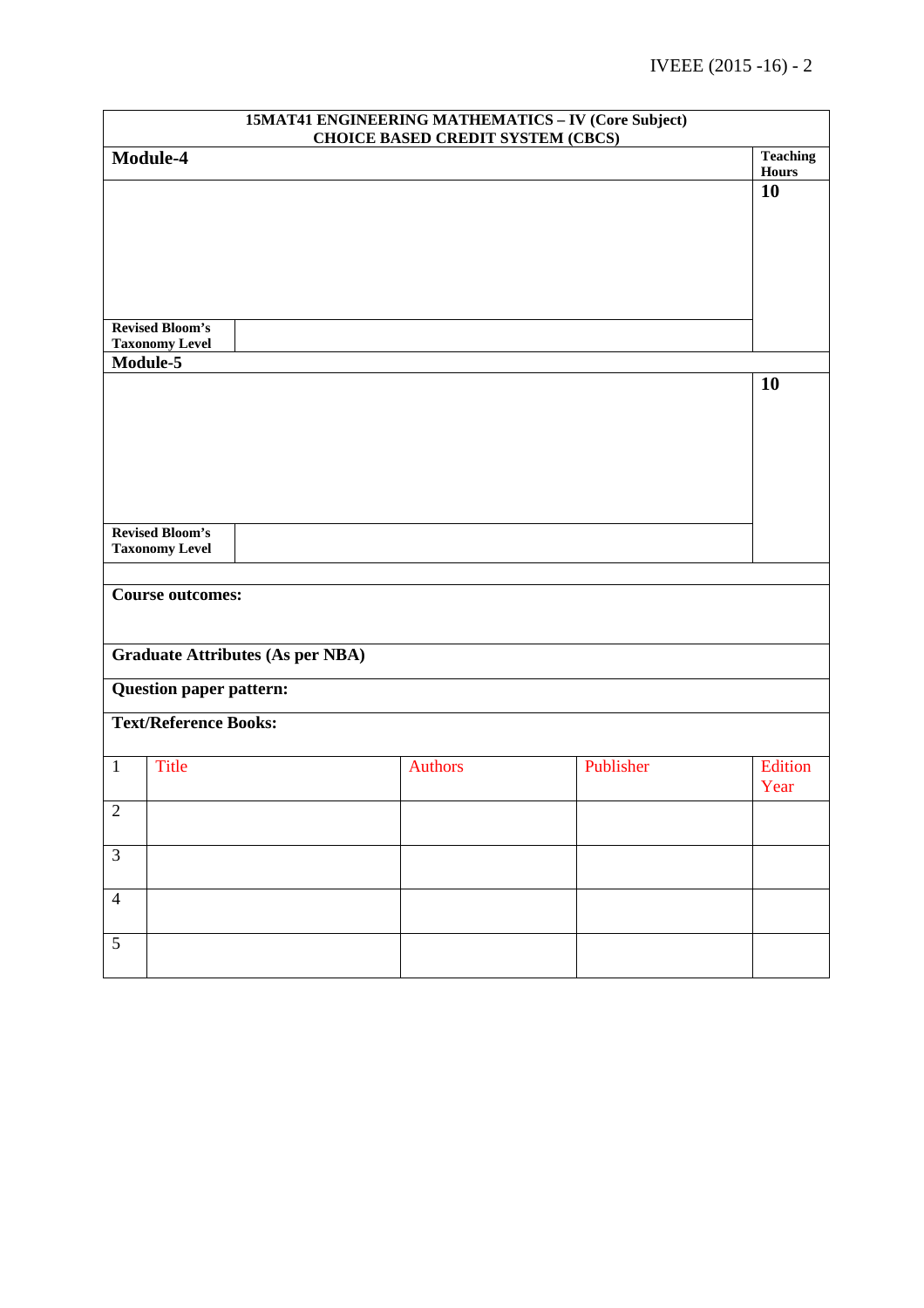| <b>15MAT41 ENGINEERING MATHEMATICS - IV (Core Subject)</b><br><b>CHOICE BASED CREDIT SYSTEM (CBCS)</b> |                                                 |                                         |                |           |                 |
|--------------------------------------------------------------------------------------------------------|-------------------------------------------------|-----------------------------------------|----------------|-----------|-----------------|
|                                                                                                        | Module-4                                        |                                         |                |           | <b>Teaching</b> |
|                                                                                                        |                                                 |                                         |                |           | Hours           |
|                                                                                                        |                                                 |                                         |                |           | 10              |
|                                                                                                        |                                                 |                                         |                |           |                 |
|                                                                                                        |                                                 |                                         |                |           |                 |
|                                                                                                        |                                                 |                                         |                |           |                 |
|                                                                                                        |                                                 |                                         |                |           |                 |
|                                                                                                        | <b>Revised Bloom's</b>                          |                                         |                |           |                 |
|                                                                                                        | <b>Taxonomy Level</b>                           |                                         |                |           |                 |
|                                                                                                        | Module-5                                        |                                         |                |           |                 |
|                                                                                                        |                                                 |                                         |                |           | <b>10</b>       |
|                                                                                                        |                                                 |                                         |                |           |                 |
|                                                                                                        |                                                 |                                         |                |           |                 |
|                                                                                                        |                                                 |                                         |                |           |                 |
|                                                                                                        |                                                 |                                         |                |           |                 |
|                                                                                                        |                                                 |                                         |                |           |                 |
|                                                                                                        | <b>Revised Bloom's</b><br><b>Taxonomy Level</b> |                                         |                |           |                 |
|                                                                                                        |                                                 |                                         |                |           |                 |
|                                                                                                        | <b>Course outcomes:</b>                         |                                         |                |           |                 |
|                                                                                                        |                                                 |                                         |                |           |                 |
|                                                                                                        |                                                 |                                         |                |           |                 |
|                                                                                                        |                                                 | <b>Graduate Attributes (As per NBA)</b> |                |           |                 |
|                                                                                                        | <b>Question paper pattern:</b>                  |                                         |                |           |                 |
|                                                                                                        | <b>Text/Reference Books:</b>                    |                                         |                |           |                 |
|                                                                                                        |                                                 |                                         |                |           |                 |
| $\mathbf{1}$                                                                                           | <b>Title</b>                                    |                                         | <b>Authors</b> | Publisher | Edition<br>Year |
| $\overline{2}$                                                                                         |                                                 |                                         |                |           |                 |
| $\mathfrak{Z}$                                                                                         |                                                 |                                         |                |           |                 |
|                                                                                                        |                                                 |                                         |                |           |                 |
| $\overline{4}$                                                                                         |                                                 |                                         |                |           |                 |
|                                                                                                        |                                                 |                                         |                |           |                 |
| $\overline{5}$                                                                                         |                                                 |                                         |                |           |                 |
|                                                                                                        |                                                 |                                         |                |           |                 |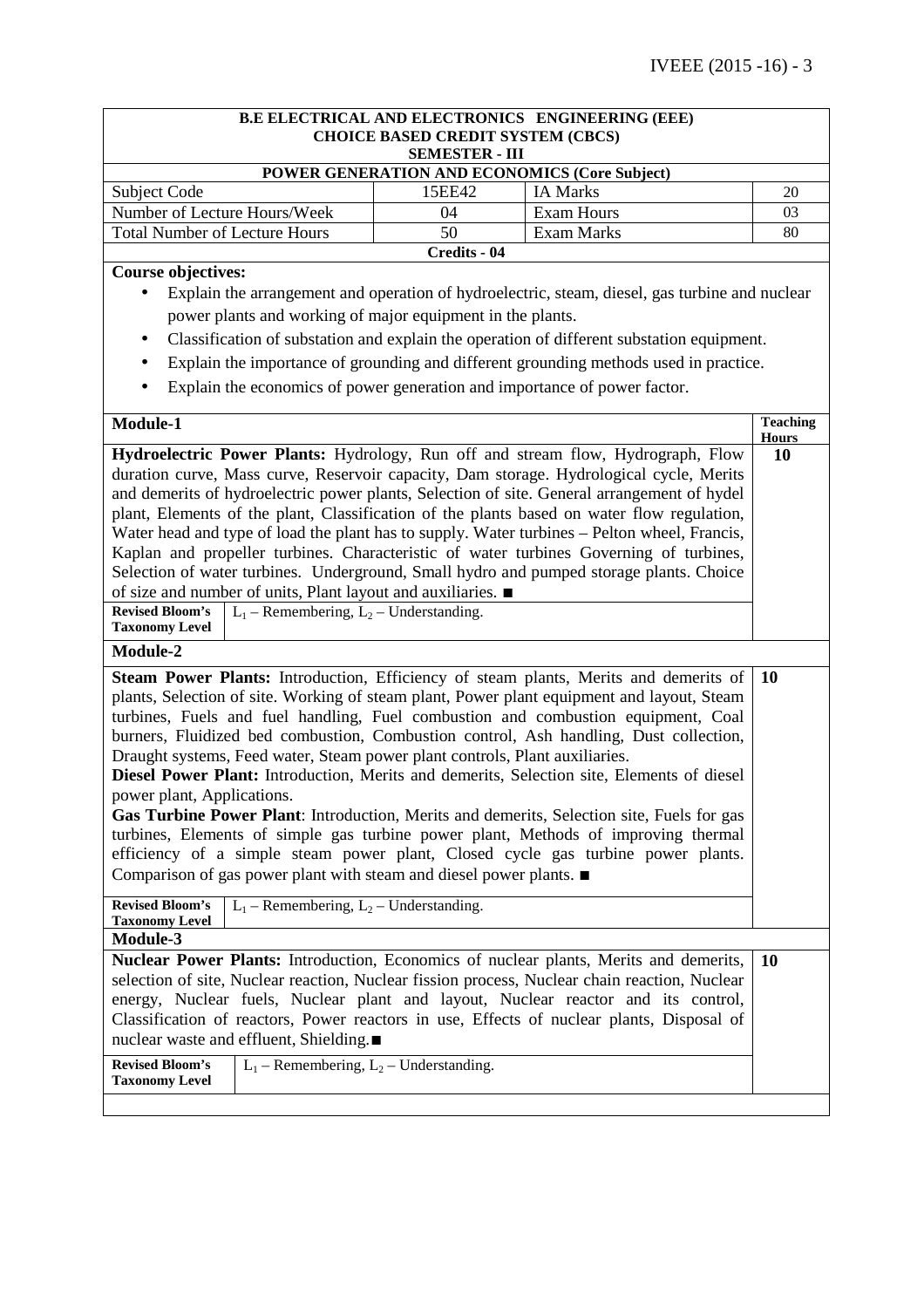|                                                                                           |                                                                                        |                                                                                                                                                                 | B.E ELECTRICAL AND ELECTRONICS ENGINEERING (EEE)                                                                                                                                                                                                                                                                                                                                                                                                                                                                                                                                                                                                                                                                                                                                                                                                                                                                                                                                                                                   |                                       |
|-------------------------------------------------------------------------------------------|----------------------------------------------------------------------------------------|-----------------------------------------------------------------------------------------------------------------------------------------------------------------|------------------------------------------------------------------------------------------------------------------------------------------------------------------------------------------------------------------------------------------------------------------------------------------------------------------------------------------------------------------------------------------------------------------------------------------------------------------------------------------------------------------------------------------------------------------------------------------------------------------------------------------------------------------------------------------------------------------------------------------------------------------------------------------------------------------------------------------------------------------------------------------------------------------------------------------------------------------------------------------------------------------------------------|---------------------------------------|
|                                                                                           |                                                                                        | <b>CHOICE BASED CREDIT SYSTEM (CBCS)</b><br><b>SEMESTER - III</b>                                                                                               |                                                                                                                                                                                                                                                                                                                                                                                                                                                                                                                                                                                                                                                                                                                                                                                                                                                                                                                                                                                                                                    |                                       |
|                                                                                           |                                                                                        |                                                                                                                                                                 | POWER GENERATION AND ECONOMICS (Core Subject)                                                                                                                                                                                                                                                                                                                                                                                                                                                                                                                                                                                                                                                                                                                                                                                                                                                                                                                                                                                      |                                       |
| Subject Code                                                                              |                                                                                        | 15EE42                                                                                                                                                          | <b>IA Marks</b>                                                                                                                                                                                                                                                                                                                                                                                                                                                                                                                                                                                                                                                                                                                                                                                                                                                                                                                                                                                                                    | 20                                    |
| Number of Lecture Hours/Week                                                              |                                                                                        | 04                                                                                                                                                              | <b>Exam Hours</b>                                                                                                                                                                                                                                                                                                                                                                                                                                                                                                                                                                                                                                                                                                                                                                                                                                                                                                                                                                                                                  | 03                                    |
| <b>Total Number of Lecture Hours</b>                                                      |                                                                                        | 50                                                                                                                                                              | <b>Exam Marks</b>                                                                                                                                                                                                                                                                                                                                                                                                                                                                                                                                                                                                                                                                                                                                                                                                                                                                                                                                                                                                                  | 80                                    |
|                                                                                           |                                                                                        | Credits - 04                                                                                                                                                    |                                                                                                                                                                                                                                                                                                                                                                                                                                                                                                                                                                                                                                                                                                                                                                                                                                                                                                                                                                                                                                    |                                       |
| <b>Course objectives:</b><br>Module-1<br><b>Revised Bloom's</b><br><b>Taxonomy Level</b>  | $L_1$ – Remembering, $L_2$ – Understanding.                                            | power plants and working of major equipment in the plants.<br>of size and number of units, Plant layout and auxiliaries. ■                                      | Explain the arrangement and operation of hydroelectric, steam, diesel, gas turbine and nuclear<br>Classification of substation and explain the operation of different substation equipment.<br>Explain the importance of grounding and different grounding methods used in practice.<br>Explain the economics of power generation and importance of power factor.<br>Hydroelectric Power Plants: Hydrology, Run off and stream flow, Hydrograph, Flow<br>duration curve, Mass curve, Reservoir capacity, Dam storage. Hydrological cycle, Merits<br>and demerits of hydroelectric power plants, Selection of site. General arrangement of hydel<br>plant, Elements of the plant, Classification of the plants based on water flow regulation,<br>Water head and type of load the plant has to supply. Water turbines – Pelton wheel, Francis,<br>Kaplan and propeller turbines. Characteristic of water turbines Governing of turbines,<br>Selection of water turbines. Underground, Small hydro and pumped storage plants. Choice | <b>Teaching</b><br><b>Hours</b><br>10 |
| Module-2<br>power plant, Applications.<br><b>Revised Bloom's</b><br><b>Taxonomy Level</b> | $L_1$ – Remembering, $L_2$ – Understanding.                                            | Draught systems, Feed water, Steam power plant controls, Plant auxiliaries.<br>Comparison of gas power plant with steam and diesel power plants. $\blacksquare$ | Steam Power Plants: Introduction, Efficiency of steam plants, Merits and demerits of<br>plants, Selection of site. Working of steam plant, Power plant equipment and layout, Steam<br>turbines, Fuels and fuel handling, Fuel combustion and combustion equipment, Coal<br>burners, Fluidized bed combustion, Combustion control, Ash handling, Dust collection,<br>Diesel Power Plant: Introduction, Merits and demerits, Selection site, Elements of diesel<br>Gas Turbine Power Plant: Introduction, Merits and demerits, Selection site, Fuels for gas<br>turbines, Elements of simple gas turbine power plant, Methods of improving thermal<br>efficiency of a simple steam power plant, Closed cycle gas turbine power plants.                                                                                                                                                                                                                                                                                               | <b>10</b>                             |
| Module-3                                                                                  |                                                                                        |                                                                                                                                                                 |                                                                                                                                                                                                                                                                                                                                                                                                                                                                                                                                                                                                                                                                                                                                                                                                                                                                                                                                                                                                                                    |                                       |
| <b>Revised Bloom's</b><br><b>Taxonomy Level</b>                                           | nuclear waste and effluent, Shielding.■<br>$L_1$ – Remembering, $L_2$ – Understanding. |                                                                                                                                                                 | Nuclear Power Plants: Introduction, Economics of nuclear plants, Merits and demerits,<br>selection of site, Nuclear reaction, Nuclear fission process, Nuclear chain reaction, Nuclear<br>energy, Nuclear fuels, Nuclear plant and layout, Nuclear reactor and its control,<br>Classification of reactors, Power reactors in use, Effects of nuclear plants, Disposal of                                                                                                                                                                                                                                                                                                                                                                                                                                                                                                                                                                                                                                                           | <b>10</b>                             |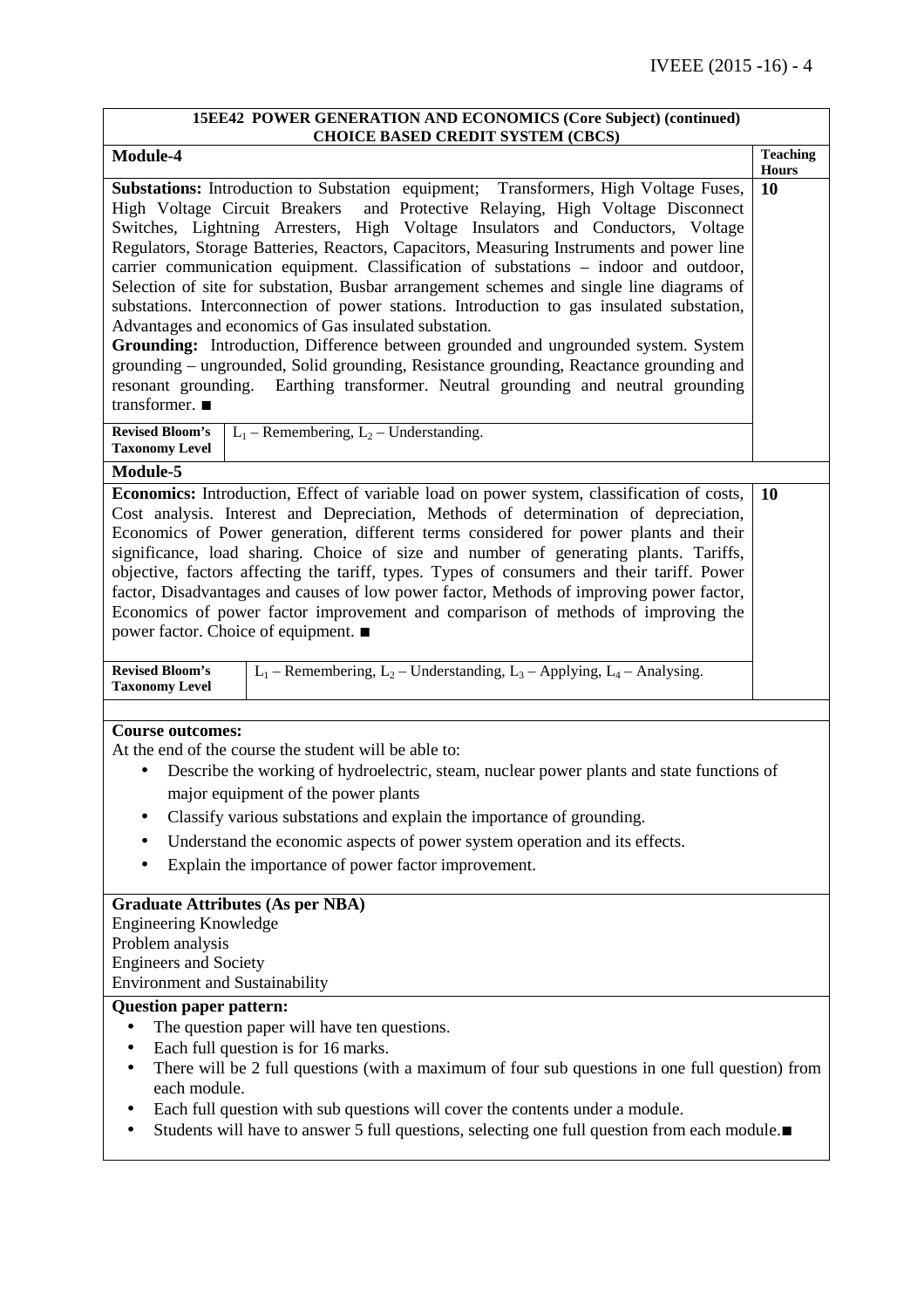| 15EE42 POWER GENERATION AND ECONOMICS (Core Subject) (continued)<br><b>CHOICE BASED CREDIT SYSTEM (CBCS)</b>                                                                                                                                                                                                                                                                                                                                                                                                                                                                                                                                                                                                                                                                                                                                                                                                                                                                                     |                                 |
|--------------------------------------------------------------------------------------------------------------------------------------------------------------------------------------------------------------------------------------------------------------------------------------------------------------------------------------------------------------------------------------------------------------------------------------------------------------------------------------------------------------------------------------------------------------------------------------------------------------------------------------------------------------------------------------------------------------------------------------------------------------------------------------------------------------------------------------------------------------------------------------------------------------------------------------------------------------------------------------------------|---------------------------------|
| Module-4                                                                                                                                                                                                                                                                                                                                                                                                                                                                                                                                                                                                                                                                                                                                                                                                                                                                                                                                                                                         | <b>Teaching</b><br><b>Hours</b> |
| <b>Substations:</b> Introduction to Substation equipment; Transformers, High Voltage Fuses,<br>and Protective Relaying, High Voltage Disconnect<br>High Voltage Circuit Breakers<br>Switches, Lightning Arresters, High Voltage Insulators and Conductors, Voltage<br>Regulators, Storage Batteries, Reactors, Capacitors, Measuring Instruments and power line<br>carrier communication equipment. Classification of substations - indoor and outdoor,<br>Selection of site for substation, Busbar arrangement schemes and single line diagrams of<br>substations. Interconnection of power stations. Introduction to gas insulated substation,<br>Advantages and economics of Gas insulated substation.<br>Grounding: Introduction, Difference between grounded and ungrounded system. System<br>grounding - ungrounded, Solid grounding, Resistance grounding, Reactance grounding and<br>resonant grounding. Earthing transformer. Neutral grounding and neutral grounding<br>transformer. ■ | 10                              |
| $L_1$ – Remembering, $L_2$ – Understanding.<br><b>Revised Bloom's</b><br><b>Taxonomy Level</b>                                                                                                                                                                                                                                                                                                                                                                                                                                                                                                                                                                                                                                                                                                                                                                                                                                                                                                   |                                 |
| Module-5                                                                                                                                                                                                                                                                                                                                                                                                                                                                                                                                                                                                                                                                                                                                                                                                                                                                                                                                                                                         |                                 |
| Economics: Introduction, Effect of variable load on power system, classification of costs,<br>Cost analysis. Interest and Depreciation, Methods of determination of depreciation,<br>Economics of Power generation, different terms considered for power plants and their<br>significance, load sharing. Choice of size and number of generating plants. Tariffs,<br>objective, factors affecting the tariff, types. Types of consumers and their tariff. Power<br>factor, Disadvantages and causes of low power factor, Methods of improving power factor,<br>Economics of power factor improvement and comparison of methods of improving the<br>power factor. Choice of equipment. ■                                                                                                                                                                                                                                                                                                          | <b>10</b>                       |
| <b>Revised Bloom's</b><br>$L_1$ – Remembering, $L_2$ – Understanding, $L_3$ – Applying, $L_4$ – Analysing.<br><b>Taxonomy Level</b>                                                                                                                                                                                                                                                                                                                                                                                                                                                                                                                                                                                                                                                                                                                                                                                                                                                              |                                 |
| <b>Course outcomes:</b>                                                                                                                                                                                                                                                                                                                                                                                                                                                                                                                                                                                                                                                                                                                                                                                                                                                                                                                                                                          |                                 |
| At the end of the course the student will be able to:<br>Describe the working of hydroelectric, steam, nuclear power plants and state functions of<br>major equipment of the power plants<br>Classify various substations and explain the importance of grounding.<br>Understand the economic aspects of power system operation and its effects.<br>Explain the importance of power factor improvement.                                                                                                                                                                                                                                                                                                                                                                                                                                                                                                                                                                                          |                                 |
| <b>Graduate Attributes (As per NBA)</b><br><b>Engineering Knowledge</b><br>Problem analysis<br><b>Engineers and Society</b><br><b>Environment and Sustainability</b>                                                                                                                                                                                                                                                                                                                                                                                                                                                                                                                                                                                                                                                                                                                                                                                                                             |                                 |
| <b>Question paper pattern:</b>                                                                                                                                                                                                                                                                                                                                                                                                                                                                                                                                                                                                                                                                                                                                                                                                                                                                                                                                                                   |                                 |
| The question paper will have ten questions.<br>Each full question is for 16 marks.<br>There will be 2 full questions (with a maximum of four sub questions in one full question) from<br>each module.<br>Each full question with sub questions will cover the contents under a module.<br>Students will have to answer 5 full questions, selecting one full question from each module.■                                                                                                                                                                                                                                                                                                                                                                                                                                                                                                                                                                                                          |                                 |

<u> 1989 - Johann Stoff, fransk politik (f. 1989)</u>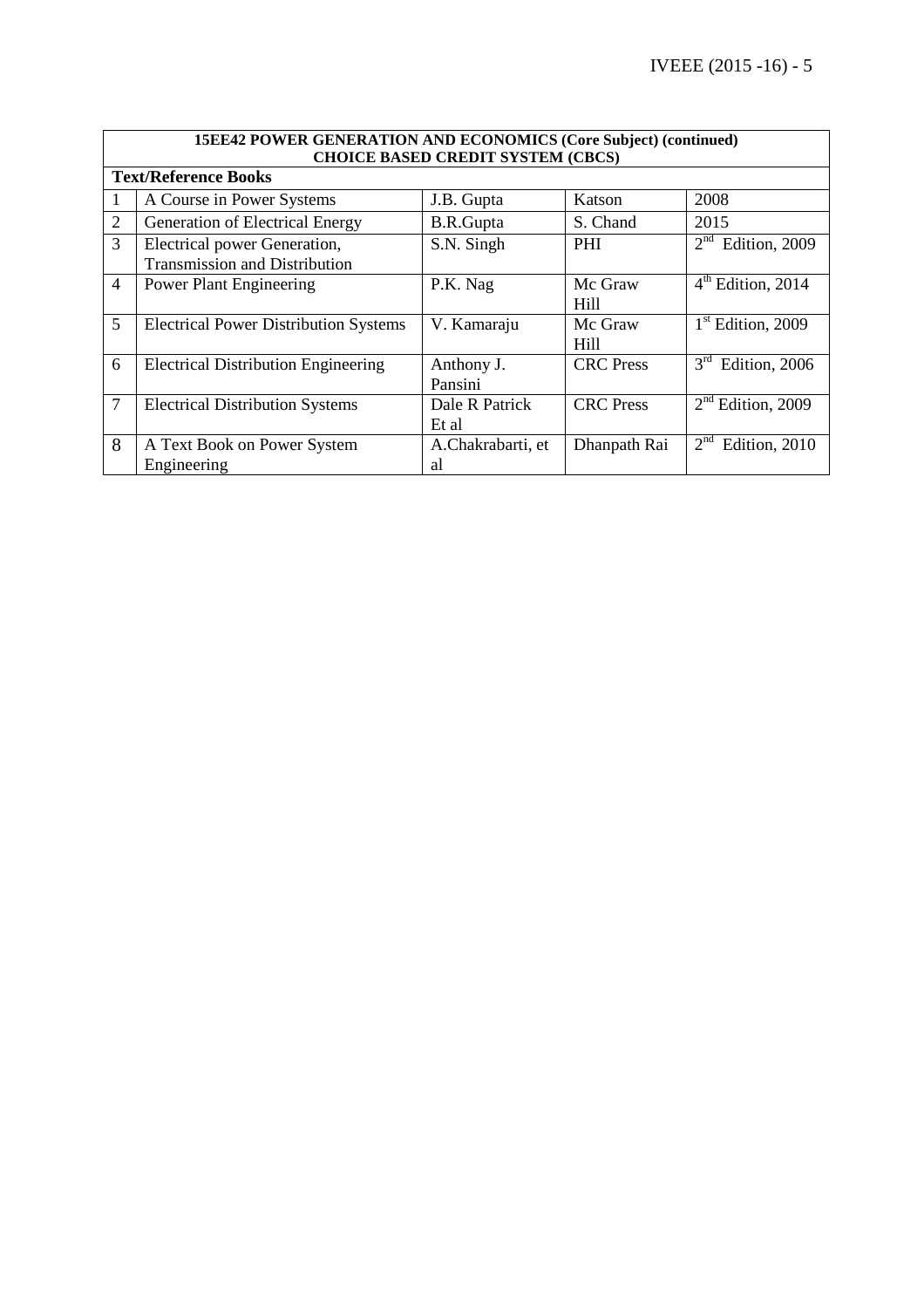|                | 15EE42 POWER GENERATION AND ECONOMICS (Core Subject) (continued)     |                         |                  |                                   |  |  |  |
|----------------|----------------------------------------------------------------------|-------------------------|------------------|-----------------------------------|--|--|--|
|                | <b>CHOICE BASED CREDIT SYSTEM (CBCS)</b>                             |                         |                  |                                   |  |  |  |
|                | <b>Text/Reference Books</b>                                          |                         |                  |                                   |  |  |  |
|                | A Course in Power Systems                                            | J.B. Gupta              | Katson           | 2008                              |  |  |  |
| $\overline{2}$ | Generation of Electrical Energy                                      | B.R.Gupta               | S. Chand         | 2015                              |  |  |  |
| $\overline{3}$ | Electrical power Generation,<br><b>Transmission and Distribution</b> | S.N. Singh              | PHI              | 2 <sup>nd</sup><br>Edition, 2009  |  |  |  |
| $\overline{4}$ | <b>Power Plant Engineering</b>                                       | P.K. Nag                | Mc Graw<br>Hill  | $\overline{4^{th}}$ Edition, 2014 |  |  |  |
| 5              | <b>Electrical Power Distribution Systems</b>                         | V. Kamaraju             | Mc Graw<br>Hill  | $1st$ Edition, 2009               |  |  |  |
| 6              | <b>Electrical Distribution Engineering</b>                           | Anthony J.<br>Pansini   | <b>CRC</b> Press | 3 <sup>rd</sup><br>Edition, 2006  |  |  |  |
| $\overline{7}$ | <b>Electrical Distribution Systems</b>                               | Dale R Patrick<br>Et al | <b>CRC</b> Press | $2nd$ Edition, 2009               |  |  |  |
| 8              | A Text Book on Power System<br>Engineering                           | A.Chakrabarti, et<br>al | Dhanpath Rai     | 2 <sup>nd</sup><br>Edition, 2010  |  |  |  |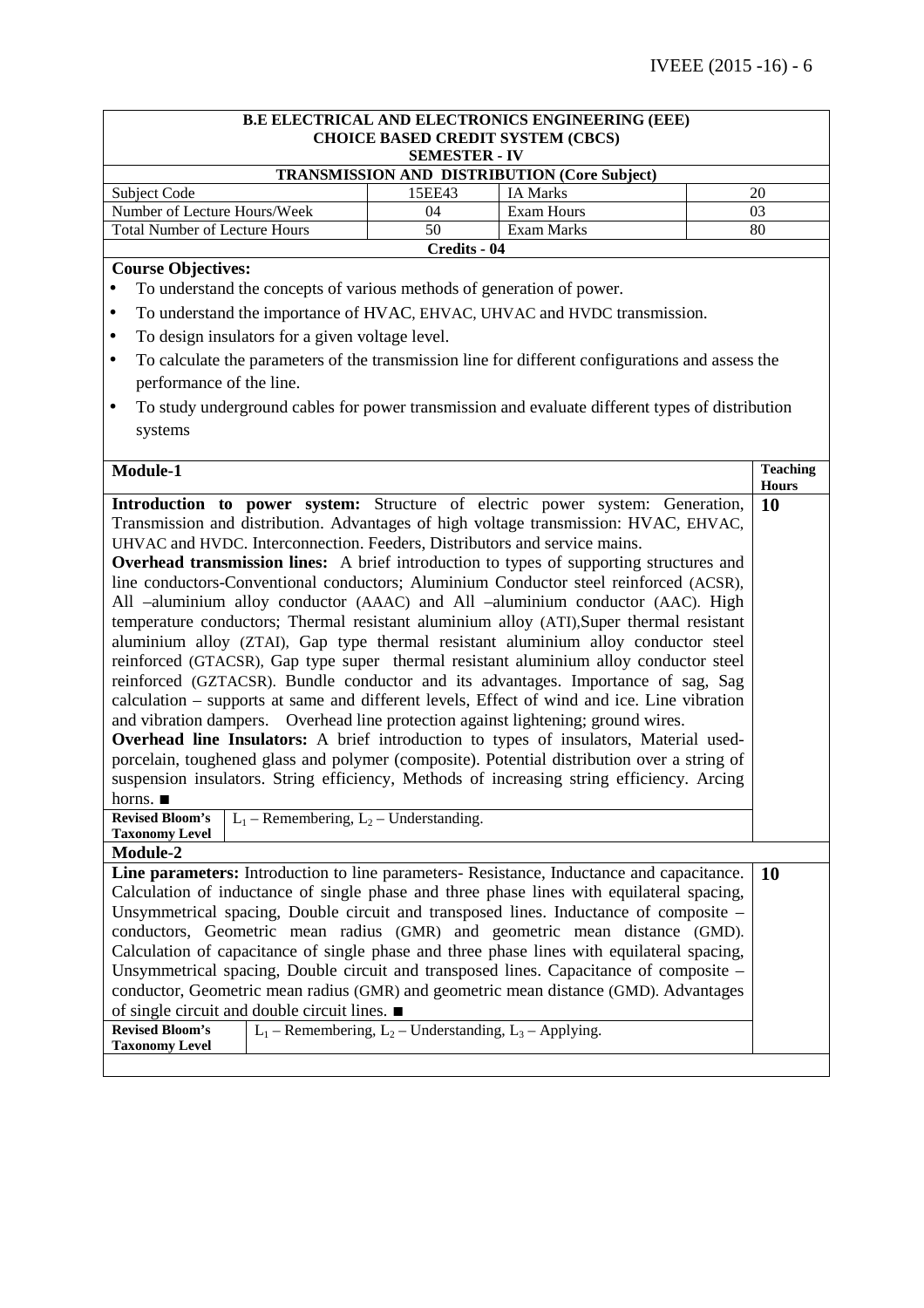| B.E ELECTRICAL AND ELECTRONICS ENGINEERING (EEE)                                                                                                                               |                                                                                             |                                                                       |                                                                                                  |  |                 |
|--------------------------------------------------------------------------------------------------------------------------------------------------------------------------------|---------------------------------------------------------------------------------------------|-----------------------------------------------------------------------|--------------------------------------------------------------------------------------------------|--|-----------------|
|                                                                                                                                                                                |                                                                                             | <b>CHOICE BASED CREDIT SYSTEM (CBCS)</b>                              |                                                                                                  |  |                 |
|                                                                                                                                                                                |                                                                                             | <b>SEMESTER - IV</b>                                                  | <b>TRANSMISSION AND DISTRIBUTION (Core Subject)</b>                                              |  |                 |
| Subject Code                                                                                                                                                                   |                                                                                             | 15EE43                                                                | <b>IA Marks</b>                                                                                  |  | 20              |
| Number of Lecture Hours/Week                                                                                                                                                   |                                                                                             | 04                                                                    | Exam Hours                                                                                       |  | 03              |
| <b>Total Number of Lecture Hours</b>                                                                                                                                           |                                                                                             | 50                                                                    | Exam Marks                                                                                       |  | 80              |
|                                                                                                                                                                                |                                                                                             | Credits - 04                                                          |                                                                                                  |  |                 |
| <b>Course Objectives:</b>                                                                                                                                                      |                                                                                             |                                                                       |                                                                                                  |  |                 |
|                                                                                                                                                                                |                                                                                             | To understand the concepts of various methods of generation of power. |                                                                                                  |  |                 |
| $\bullet$                                                                                                                                                                      |                                                                                             |                                                                       | To understand the importance of HVAC, EHVAC, UHVAC and HVDC transmission.                        |  |                 |
| $\bullet$                                                                                                                                                                      | To design insulators for a given voltage level.                                             |                                                                       |                                                                                                  |  |                 |
| $\bullet$                                                                                                                                                                      |                                                                                             |                                                                       | To calculate the parameters of the transmission line for different configurations and assess the |  |                 |
| performance of the line.                                                                                                                                                       |                                                                                             |                                                                       |                                                                                                  |  |                 |
| $\bullet$                                                                                                                                                                      |                                                                                             |                                                                       | To study underground cables for power transmission and evaluate different types of distribution  |  |                 |
| systems                                                                                                                                                                        |                                                                                             |                                                                       |                                                                                                  |  |                 |
|                                                                                                                                                                                |                                                                                             |                                                                       |                                                                                                  |  |                 |
| Module-1                                                                                                                                                                       |                                                                                             |                                                                       |                                                                                                  |  | <b>Teaching</b> |
|                                                                                                                                                                                |                                                                                             |                                                                       |                                                                                                  |  | <b>Hours</b>    |
|                                                                                                                                                                                |                                                                                             |                                                                       | Introduction to power system: Structure of electric power system: Generation,                    |  | 10              |
|                                                                                                                                                                                |                                                                                             |                                                                       | Transmission and distribution. Advantages of high voltage transmission: HVAC, EHVAC,             |  |                 |
|                                                                                                                                                                                |                                                                                             |                                                                       | UHVAC and HVDC. Interconnection. Feeders, Distributors and service mains.                        |  |                 |
|                                                                                                                                                                                |                                                                                             |                                                                       | <b>Overhead transmission lines:</b> A brief introduction to types of supporting structures and   |  |                 |
| line conductors-Conventional conductors; Aluminium Conductor steel reinforced (ACSR),                                                                                          |                                                                                             |                                                                       |                                                                                                  |  |                 |
| All -aluminium alloy conductor (AAAC) and All -aluminium conductor (AAC). High                                                                                                 |                                                                                             |                                                                       |                                                                                                  |  |                 |
| temperature conductors; Thermal resistant aluminium alloy (ATI), Super thermal resistant<br>aluminium alloy (ZTAI), Gap type thermal resistant aluminium alloy conductor steel |                                                                                             |                                                                       |                                                                                                  |  |                 |
| reinforced (GTACSR), Gap type super thermal resistant aluminium alloy conductor steel                                                                                          |                                                                                             |                                                                       |                                                                                                  |  |                 |
| reinforced (GZTACSR). Bundle conductor and its advantages. Importance of sag, Sag                                                                                              |                                                                                             |                                                                       |                                                                                                  |  |                 |
| calculation – supports at same and different levels, Effect of wind and ice. Line vibration                                                                                    |                                                                                             |                                                                       |                                                                                                  |  |                 |
| and vibration dampers. Overhead line protection against lightening; ground wires.                                                                                              |                                                                                             |                                                                       |                                                                                                  |  |                 |
| <b>Overhead line Insulators:</b> A brief introduction to types of insulators, Material used-                                                                                   |                                                                                             |                                                                       |                                                                                                  |  |                 |
|                                                                                                                                                                                | porcelain, toughened glass and polymer (composite). Potential distribution over a string of |                                                                       |                                                                                                  |  |                 |
|                                                                                                                                                                                |                                                                                             |                                                                       | suspension insulators. String efficiency, Methods of increasing string efficiency. Arcing        |  |                 |
| horns. $\blacksquare$                                                                                                                                                          |                                                                                             |                                                                       |                                                                                                  |  |                 |
| <b>Revised Bloom's</b><br>$L_1$ – Remembering, $L_2$ – Understanding.                                                                                                          |                                                                                             |                                                                       |                                                                                                  |  |                 |
| <b>Taxonomy Level</b>                                                                                                                                                          |                                                                                             |                                                                       |                                                                                                  |  |                 |
| <b>Module-2</b>                                                                                                                                                                |                                                                                             |                                                                       |                                                                                                  |  |                 |
|                                                                                                                                                                                |                                                                                             |                                                                       | Line parameters: Introduction to line parameters- Resistance, Inductance and capacitance.        |  | 10              |
| Calculation of inductance of single phase and three phase lines with equilateral spacing,                                                                                      |                                                                                             |                                                                       |                                                                                                  |  |                 |
| Unsymmetrical spacing, Double circuit and transposed lines. Inductance of composite -<br>conductors, Geometric mean radius (GMR) and geometric mean distance (GMD).            |                                                                                             |                                                                       |                                                                                                  |  |                 |
|                                                                                                                                                                                |                                                                                             |                                                                       | Calculation of capacitance of single phase and three phase lines with equilateral spacing,       |  |                 |
|                                                                                                                                                                                |                                                                                             |                                                                       | Unsymmetrical spacing, Double circuit and transposed lines. Capacitance of composite –           |  |                 |
|                                                                                                                                                                                |                                                                                             |                                                                       | conductor, Geometric mean radius (GMR) and geometric mean distance (GMD). Advantages             |  |                 |
| of single circuit and double circuit lines. $\blacksquare$                                                                                                                     |                                                                                             |                                                                       |                                                                                                  |  |                 |
| <b>Revised Bloom's</b>                                                                                                                                                         |                                                                                             | $L_1$ – Remembering, $L_2$ – Understanding, $L_3$ – Applying.         |                                                                                                  |  |                 |
| <b>Taxonomy Level</b>                                                                                                                                                          |                                                                                             |                                                                       |                                                                                                  |  |                 |
|                                                                                                                                                                                |                                                                                             |                                                                       |                                                                                                  |  |                 |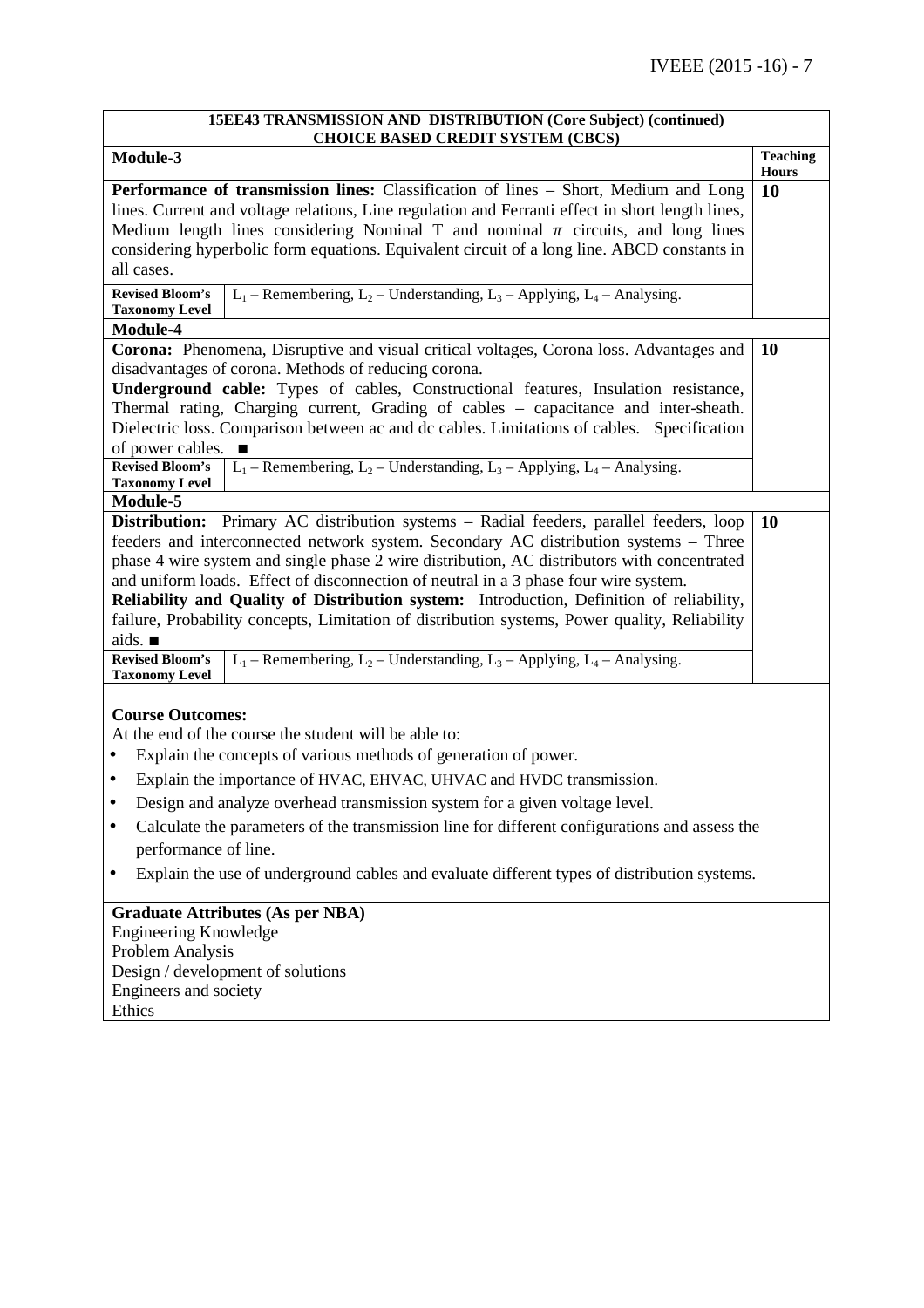| 15EE43 TRANSMISSION AND DISTRIBUTION (Core Subject) (continued)                                                                                                                                                                                                                                                                                                                                                                                                                                                                                                                                                                                                                                                                   |                                 |
|-----------------------------------------------------------------------------------------------------------------------------------------------------------------------------------------------------------------------------------------------------------------------------------------------------------------------------------------------------------------------------------------------------------------------------------------------------------------------------------------------------------------------------------------------------------------------------------------------------------------------------------------------------------------------------------------------------------------------------------|---------------------------------|
| <b>CHOICE BASED CREDIT SYSTEM (CBCS)</b><br>Module-3                                                                                                                                                                                                                                                                                                                                                                                                                                                                                                                                                                                                                                                                              | <b>Teaching</b><br><b>Hours</b> |
| Performance of transmission lines: Classification of lines - Short, Medium and Long<br>lines. Current and voltage relations, Line regulation and Ferranti effect in short length lines,<br>Medium length lines considering Nominal T and nominal $\pi$ circuits, and long lines<br>considering hyperbolic form equations. Equivalent circuit of a long line. ABCD constants in<br>all cases.<br><b>Revised Bloom's</b><br>$L_1$ – Remembering, $L_2$ – Understanding, $L_3$ – Applying, $L_4$ – Analysing.                                                                                                                                                                                                                        | 10                              |
| <b>Taxonomy Level</b>                                                                                                                                                                                                                                                                                                                                                                                                                                                                                                                                                                                                                                                                                                             |                                 |
| Module-4<br>Corona: Phenomena, Disruptive and visual critical voltages, Corona loss. Advantages and<br>disadvantages of corona. Methods of reducing corona.<br>Underground cable: Types of cables, Constructional features, Insulation resistance,<br>Thermal rating, Charging current, Grading of cables - capacitance and inter-sheath.<br>Dielectric loss. Comparison between ac and dc cables. Limitations of cables. Specification<br>of power cables.                                                                                                                                                                                                                                                                       | 10                              |
| $L_1$ – Remembering, $L_2$ – Understanding, $L_3$ – Applying, $L_4$ – Analysing.<br><b>Revised Bloom's</b><br><b>Taxonomy Level</b>                                                                                                                                                                                                                                                                                                                                                                                                                                                                                                                                                                                               |                                 |
| Module-5                                                                                                                                                                                                                                                                                                                                                                                                                                                                                                                                                                                                                                                                                                                          |                                 |
| Distribution: Primary AC distribution systems - Radial feeders, parallel feeders, loop<br>feeders and interconnected network system. Secondary AC distribution systems - Three<br>phase 4 wire system and single phase 2 wire distribution, AC distributors with concentrated<br>and uniform loads. Effect of disconnection of neutral in a 3 phase four wire system.<br>Reliability and Quality of Distribution system: Introduction, Definition of reliability,<br>failure, Probability concepts, Limitation of distribution systems, Power quality, Reliability<br>aids. $\blacksquare$<br>$L_1$ – Remembering, $L_2$ – Understanding, $L_3$ – Applying, $L_4$ – Analysing.<br><b>Revised Bloom's</b><br><b>Taxonomy Level</b> | 10                              |
|                                                                                                                                                                                                                                                                                                                                                                                                                                                                                                                                                                                                                                                                                                                                   |                                 |
| <b>Course Outcomes:</b><br>At the end of the course the student will be able to:<br>Explain the concepts of various methods of generation of power.<br>Explain the importance of HVAC, EHVAC, UHVAC and HVDC transmission.<br>٠<br>Design and analyze overhead transmission system for a given voltage level.<br>Calculate the parameters of the transmission line for different configurations and assess the<br>$\bullet$<br>performance of line.<br>Explain the use of underground cables and evaluate different types of distribution systems.<br>٠                                                                                                                                                                           |                                 |
| <b>Graduate Attributes (As per NBA)</b><br><b>Engineering Knowledge</b><br>Problem Analysis<br>Design / development of solutions<br>Engineers and society                                                                                                                                                                                                                                                                                                                                                                                                                                                                                                                                                                         |                                 |

Ethics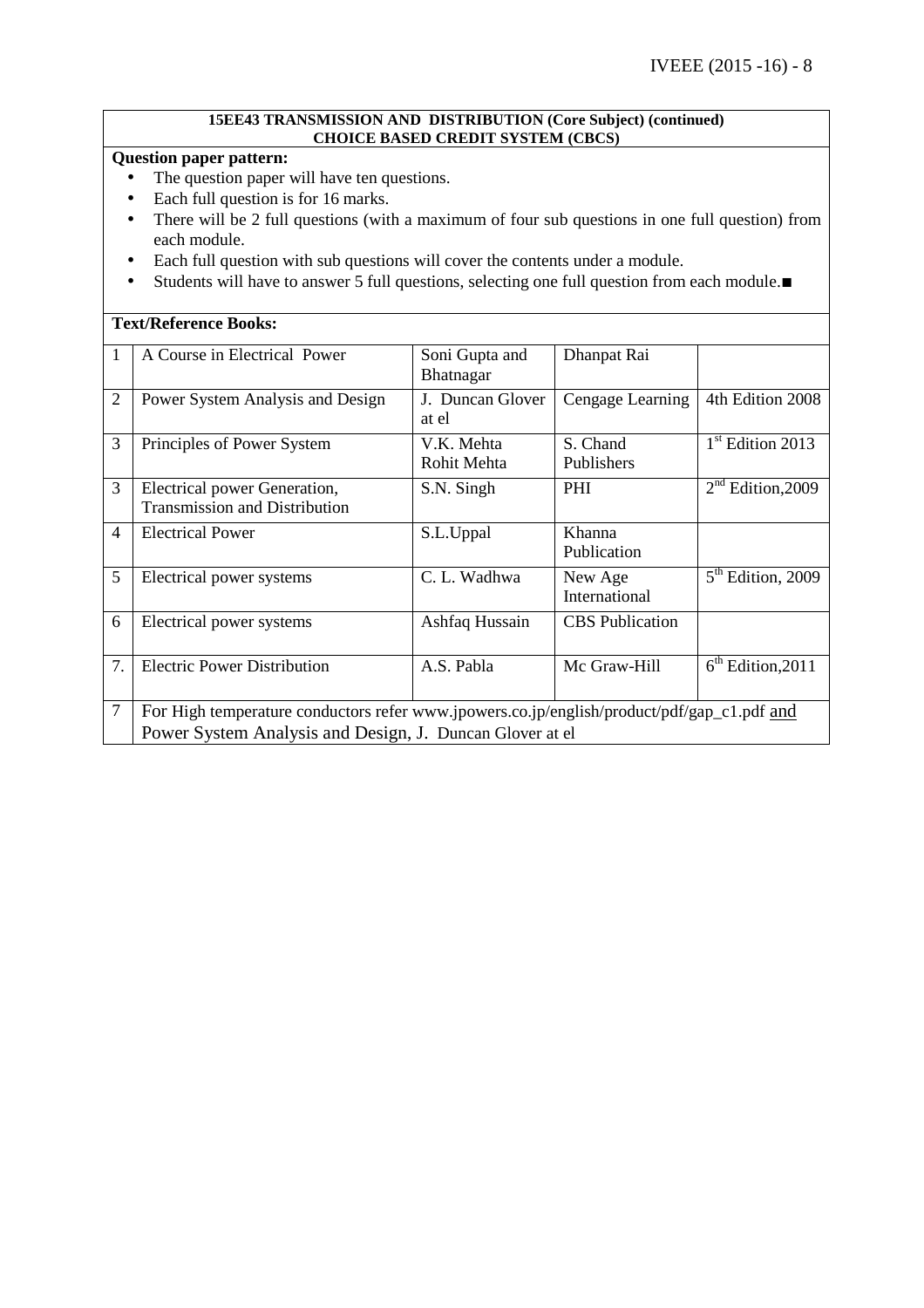### **15EE43 TRANSMISSION AND DISTRIBUTION (Core Subject) (continued) CHOICE BASED CREDIT SYSTEM (CBCS)**

# **Question paper pattern:**

- The question paper will have ten questions.
- Each full question is for 16 marks.
- There will be 2 full questions (with a maximum of four sub questions in one full question) from each module.
- Each full question with sub questions will cover the contents under a module.
- Students will have to answer 5 full questions, selecting one full question from each module.∎

|                | <b>Text/Reference Books:</b>                                                               |                                    |                          |                     |  |  |
|----------------|--------------------------------------------------------------------------------------------|------------------------------------|--------------------------|---------------------|--|--|
| 1              | A Course in Electrical Power                                                               | Soni Gupta and<br><b>Bhatnagar</b> | Dhanpat Rai              |                     |  |  |
| $\overline{2}$ | Power System Analysis and Design                                                           | J. Duncan Glover<br>at el          | Cengage Learning         | 4th Edition 2008    |  |  |
| 3              | Principles of Power System                                                                 | V.K. Mehta<br>Rohit Mehta          | S. Chand<br>Publishers   | $1st$ Edition 2013  |  |  |
| 3              | Electrical power Generation,<br><b>Transmission and Distribution</b>                       | S.N. Singh                         | PHI                      | $2nd$ Edition, 2009 |  |  |
| $\overline{4}$ | <b>Electrical Power</b>                                                                    | S.L.Uppal                          | Khanna<br>Publication    |                     |  |  |
| 5              | Electrical power systems                                                                   | C. L. Wadhwa                       | New Age<br>International | $5th$ Edition, 2009 |  |  |
| 6              | Electrical power systems                                                                   | Ashfaq Hussain                     | <b>CBS</b> Publication   |                     |  |  |
| 7.             | <b>Electric Power Distribution</b>                                                         | A.S. Pabla                         | Mc Graw-Hill             | $6th$ Edition, 2011 |  |  |
| 7              | For High temperature conductors refer www.jpowers.co.jp/english/product/pdf/gap_c1.pdf and |                                    |                          |                     |  |  |
|                | Power System Analysis and Design, J. Duncan Glover at el                                   |                                    |                          |                     |  |  |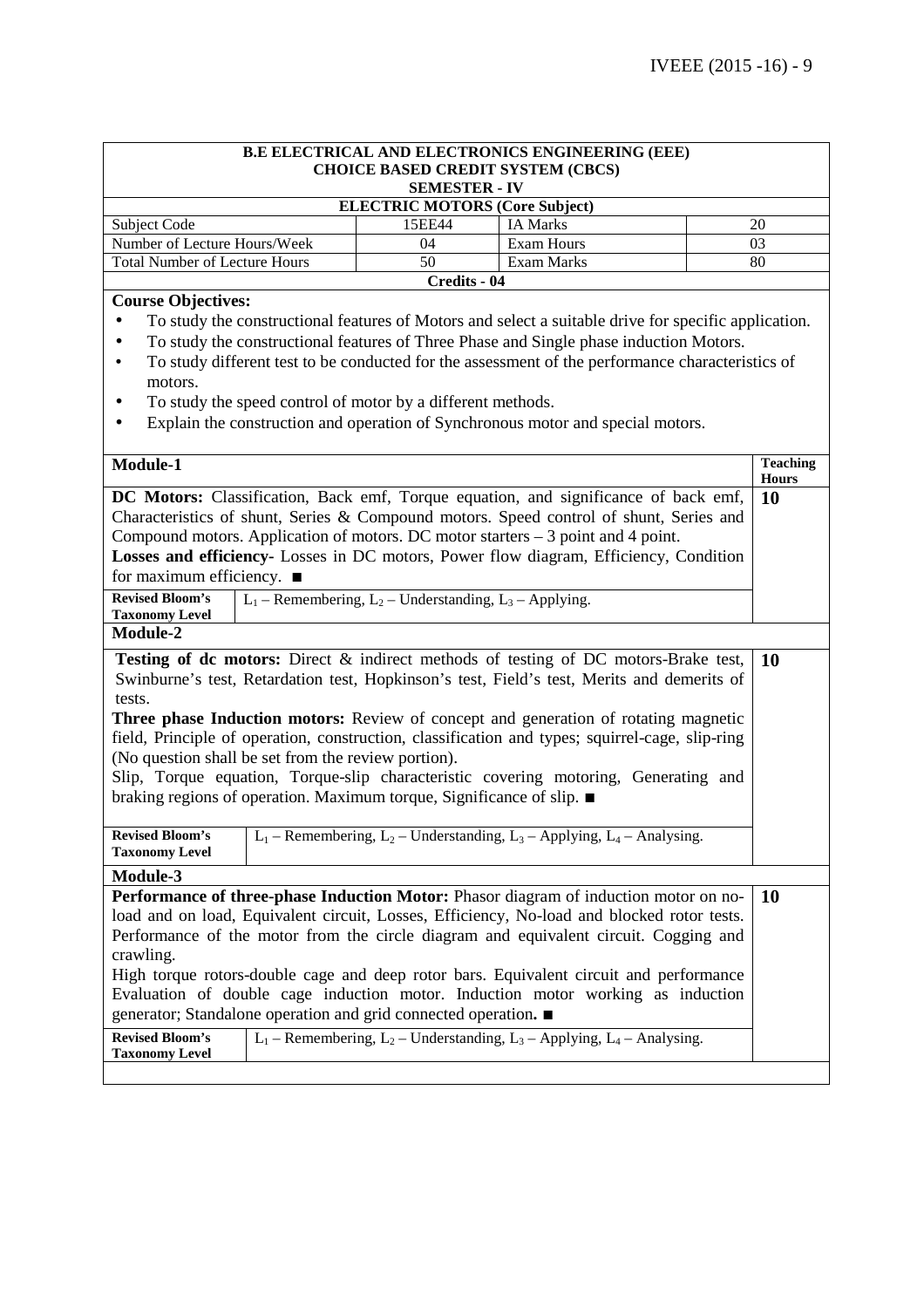| <b>B.E ELECTRICAL AND ELECTRONICS ENGINEERING (EEE)</b>                                                                                                                                        |                                                               |                                                                                  |                                 |  |  |
|------------------------------------------------------------------------------------------------------------------------------------------------------------------------------------------------|---------------------------------------------------------------|----------------------------------------------------------------------------------|---------------------------------|--|--|
|                                                                                                                                                                                                |                                                               | <b>CHOICE BASED CREDIT SYSTEM (CBCS)</b>                                         |                                 |  |  |
|                                                                                                                                                                                                | <b>SEMESTER - IV</b>                                          |                                                                                  |                                 |  |  |
| Subject Code                                                                                                                                                                                   | <b>ELECTRIC MOTORS (Core Subject)</b><br>15EE44               | <b>IA Marks</b>                                                                  | 20                              |  |  |
| Number of Lecture Hours/Week                                                                                                                                                                   | 04                                                            | Exam Hours                                                                       | 03                              |  |  |
| <b>Total Number of Lecture Hours</b>                                                                                                                                                           | 50                                                            | Exam Marks                                                                       | 80                              |  |  |
|                                                                                                                                                                                                | Credits - 04                                                  |                                                                                  |                                 |  |  |
| <b>Course Objectives:</b>                                                                                                                                                                      |                                                               |                                                                                  |                                 |  |  |
| To study the constructional features of Motors and select a suitable drive for specific application.                                                                                           |                                                               |                                                                                  |                                 |  |  |
| To study the constructional features of Three Phase and Single phase induction Motors.<br>$\bullet$                                                                                            |                                                               |                                                                                  |                                 |  |  |
| To study different test to be conducted for the assessment of the performance characteristics of<br>$\bullet$                                                                                  |                                                               |                                                                                  |                                 |  |  |
| motors.                                                                                                                                                                                        |                                                               |                                                                                  |                                 |  |  |
| To study the speed control of motor by a different methods.                                                                                                                                    |                                                               |                                                                                  |                                 |  |  |
| Explain the construction and operation of Synchronous motor and special motors.<br>٠                                                                                                           |                                                               |                                                                                  |                                 |  |  |
|                                                                                                                                                                                                |                                                               |                                                                                  |                                 |  |  |
| Module-1                                                                                                                                                                                       |                                                               |                                                                                  | <b>Teaching</b><br><b>Hours</b> |  |  |
| DC Motors: Classification, Back emf, Torque equation, and significance of back emf,                                                                                                            |                                                               |                                                                                  | <b>10</b>                       |  |  |
| Characteristics of shunt, Series & Compound motors. Speed control of shunt, Series and                                                                                                         |                                                               |                                                                                  |                                 |  |  |
| Compound motors. Application of motors. DC motor starters - 3 point and 4 point.                                                                                                               |                                                               |                                                                                  |                                 |  |  |
| Losses and efficiency- Losses in DC motors, Power flow diagram, Efficiency, Condition                                                                                                          |                                                               |                                                                                  |                                 |  |  |
| for maximum efficiency. $\blacksquare$                                                                                                                                                         |                                                               |                                                                                  |                                 |  |  |
| <b>Revised Bloom's</b>                                                                                                                                                                         | $L_1$ – Remembering, $L_2$ – Understanding, $L_3$ – Applying. |                                                                                  |                                 |  |  |
| <b>Taxonomy Level</b>                                                                                                                                                                          |                                                               |                                                                                  |                                 |  |  |
| <b>Module-2</b>                                                                                                                                                                                |                                                               |                                                                                  |                                 |  |  |
| Testing of dc motors: Direct & indirect methods of testing of DC motors-Brake test,<br><b>10</b><br>Swinburne's test, Retardation test, Hopkinson's test, Field's test, Merits and demerits of |                                                               |                                                                                  |                                 |  |  |
| tests.                                                                                                                                                                                         |                                                               |                                                                                  |                                 |  |  |
| <b>Three phase Induction motors:</b> Review of concept and generation of rotating magnetic                                                                                                     |                                                               |                                                                                  |                                 |  |  |
| field, Principle of operation, construction, classification and types; squirrel-cage, slip-ring                                                                                                |                                                               |                                                                                  |                                 |  |  |
| (No question shall be set from the review portion).                                                                                                                                            |                                                               |                                                                                  |                                 |  |  |
| Slip, Torque equation, Torque-slip characteristic covering motoring, Generating and                                                                                                            |                                                               |                                                                                  |                                 |  |  |
| braking regions of operation. Maximum torque, Significance of slip. ■                                                                                                                          |                                                               |                                                                                  |                                 |  |  |
| <b>Revised Bloom's</b> $L_1$ – Remembering, $L_2$ – Understanding, $L_3$ – Applying, $L_4$ – Analysing.                                                                                        |                                                               |                                                                                  |                                 |  |  |
| <b>Taxonomy Level</b>                                                                                                                                                                          |                                                               |                                                                                  |                                 |  |  |
| Module-3                                                                                                                                                                                       |                                                               |                                                                                  |                                 |  |  |
| Performance of three-phase Induction Motor: Phasor diagram of induction motor on no-                                                                                                           |                                                               |                                                                                  | <b>10</b>                       |  |  |
| load and on load, Equivalent circuit, Losses, Efficiency, No-load and blocked rotor tests.                                                                                                     |                                                               |                                                                                  |                                 |  |  |
| Performance of the motor from the circle diagram and equivalent circuit. Cogging and                                                                                                           |                                                               |                                                                                  |                                 |  |  |
| crawling.                                                                                                                                                                                      |                                                               |                                                                                  |                                 |  |  |
| High torque rotors-double cage and deep rotor bars. Equivalent circuit and performance                                                                                                         |                                                               |                                                                                  |                                 |  |  |
| Evaluation of double cage induction motor. Induction motor working as induction                                                                                                                |                                                               |                                                                                  |                                 |  |  |
| generator; Standalone operation and grid connected operation. ■                                                                                                                                |                                                               |                                                                                  |                                 |  |  |
| <b>Revised Bloom's</b><br><b>Taxonomy Level</b>                                                                                                                                                |                                                               | $L_1$ – Remembering, $L_2$ – Understanding, $L_3$ – Applying, $L_4$ – Analysing. |                                 |  |  |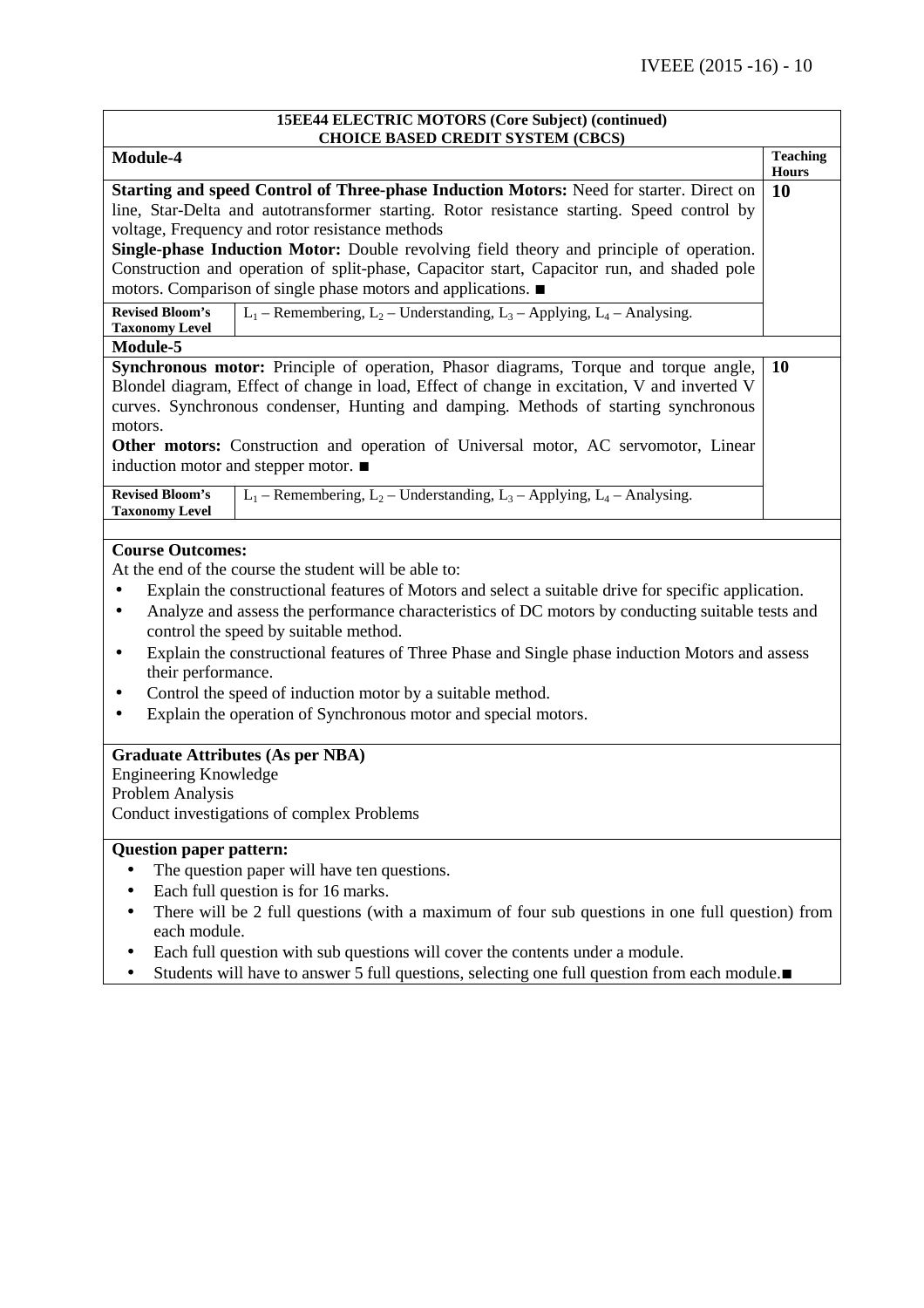| 15EE44 ELECTRIC MOTORS (Core Subject) (continued)<br><b>CHOICE BASED CREDIT SYSTEM (CBCS)</b>                                                                                                                                                                                                                                                                                                                              |                    |  |
|----------------------------------------------------------------------------------------------------------------------------------------------------------------------------------------------------------------------------------------------------------------------------------------------------------------------------------------------------------------------------------------------------------------------------|--------------------|--|
| Module-4                                                                                                                                                                                                                                                                                                                                                                                                                   | <b>Teaching</b>    |  |
| Starting and speed Control of Three-phase Induction Motors: Need for starter. Direct on                                                                                                                                                                                                                                                                                                                                    | <b>Hours</b><br>10 |  |
| line, Star-Delta and autotransformer starting. Rotor resistance starting. Speed control by                                                                                                                                                                                                                                                                                                                                 |                    |  |
| voltage, Frequency and rotor resistance methods                                                                                                                                                                                                                                                                                                                                                                            |                    |  |
| Single-phase Induction Motor: Double revolving field theory and principle of operation.                                                                                                                                                                                                                                                                                                                                    |                    |  |
| Construction and operation of split-phase, Capacitor start, Capacitor run, and shaded pole                                                                                                                                                                                                                                                                                                                                 |                    |  |
| motors. Comparison of single phase motors and applications.                                                                                                                                                                                                                                                                                                                                                                |                    |  |
| $L_1$ – Remembering, $L_2$ – Understanding, $L_3$ – Applying, $L_4$ – Analysing.<br><b>Revised Bloom's</b><br><b>Taxonomy Level</b>                                                                                                                                                                                                                                                                                        |                    |  |
| Module-5                                                                                                                                                                                                                                                                                                                                                                                                                   |                    |  |
| Synchronous motor: Principle of operation, Phasor diagrams, Torque and torque angle,<br>Blondel diagram, Effect of change in load, Effect of change in excitation, V and inverted V<br>curves. Synchronous condenser, Hunting and damping. Methods of starting synchronous<br>motors.<br><b>Other motors:</b> Construction and operation of Universal motor, AC servomotor, Linear<br>induction motor and stepper motor. ■ | 10                 |  |
| $L_1$ – Remembering, $L_2$ – Understanding, $L_3$ – Applying, $L_4$ – Analysing.<br><b>Revised Bloom's</b><br><b>Taxonomy Level</b>                                                                                                                                                                                                                                                                                        |                    |  |
| <b>Course Outcomes:</b>                                                                                                                                                                                                                                                                                                                                                                                                    |                    |  |
| At the end of the course the student will be able to:                                                                                                                                                                                                                                                                                                                                                                      |                    |  |
| Explain the constructional features of Motors and select a suitable drive for specific application.<br>$\bullet$                                                                                                                                                                                                                                                                                                           |                    |  |
| Analyze and assess the performance characteristics of DC motors by conducting suitable tests and<br>$\bullet$                                                                                                                                                                                                                                                                                                              |                    |  |
| control the speed by suitable method.                                                                                                                                                                                                                                                                                                                                                                                      |                    |  |
| Explain the constructional features of Three Phase and Single phase induction Motors and assess<br>$\bullet$<br>their performance.                                                                                                                                                                                                                                                                                         |                    |  |
| Control the speed of induction motor by a suitable method.                                                                                                                                                                                                                                                                                                                                                                 |                    |  |
| Explain the operation of Synchronous motor and special motors.                                                                                                                                                                                                                                                                                                                                                             |                    |  |
| <b>Graduate Attributes (As per NBA)</b>                                                                                                                                                                                                                                                                                                                                                                                    |                    |  |
| <b>Engineering Knowledge</b>                                                                                                                                                                                                                                                                                                                                                                                               |                    |  |
| Problem Analysis                                                                                                                                                                                                                                                                                                                                                                                                           |                    |  |
| Conduct investigations of complex Problems                                                                                                                                                                                                                                                                                                                                                                                 |                    |  |
| <b>Question paper pattern:</b>                                                                                                                                                                                                                                                                                                                                                                                             |                    |  |
| The question paper will have ten questions.                                                                                                                                                                                                                                                                                                                                                                                |                    |  |
| Each full question is for 16 marks.                                                                                                                                                                                                                                                                                                                                                                                        |                    |  |

- There will be 2 full questions (with a maximum of four sub questions in one full question) from each module.
- Each full question with sub questions will cover the contents under a module.
- Students will have to answer 5 full questions, selecting one full question from each module.∎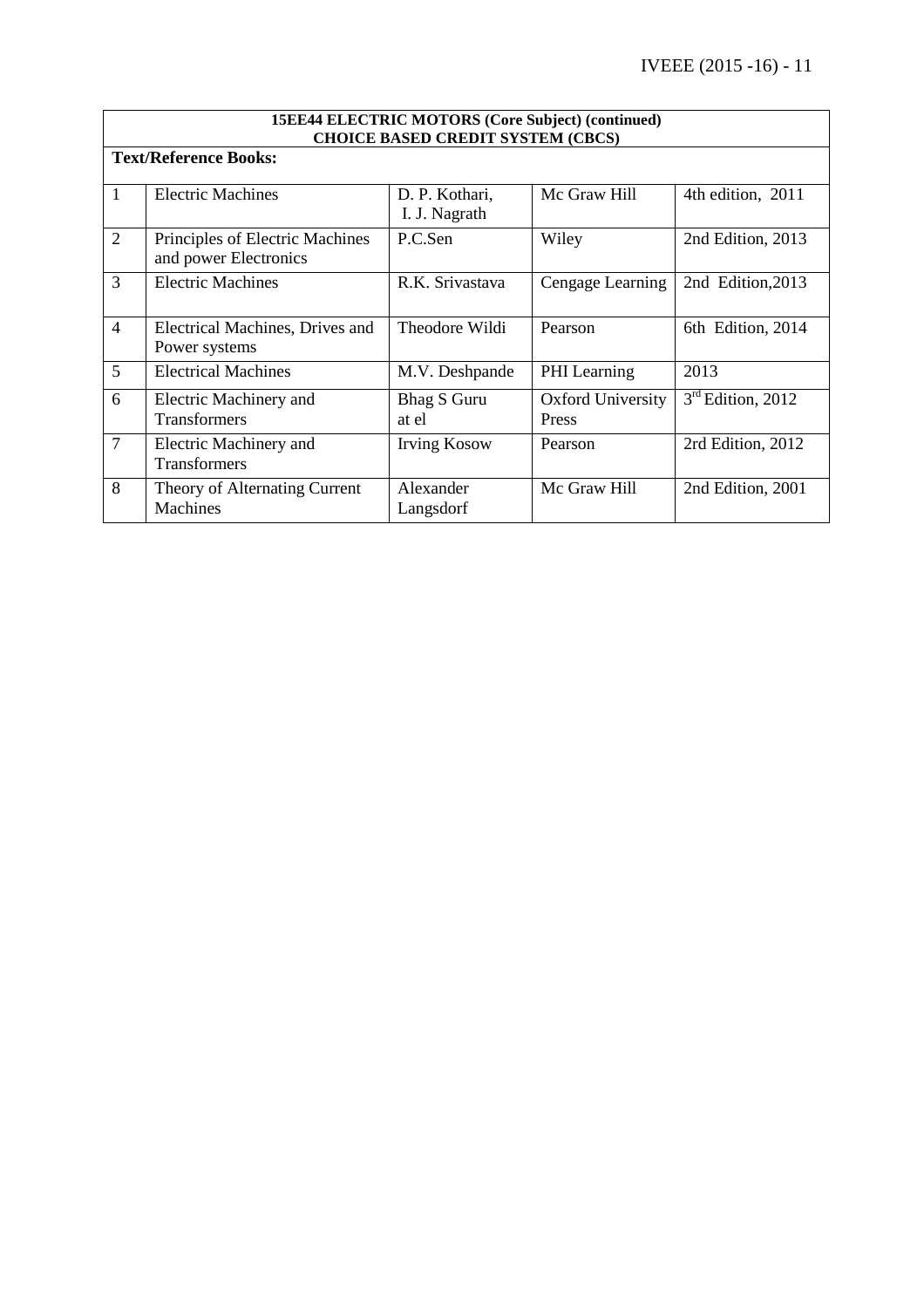|                | <b>15EE44 ELECTRIC MOTORS (Core Subject) (continued)</b><br><b>CHOICE BASED CREDIT SYSTEM (CBCS)</b> |                                 |                                   |                     |  |  |
|----------------|------------------------------------------------------------------------------------------------------|---------------------------------|-----------------------------------|---------------------|--|--|
|                | <b>Text/Reference Books:</b>                                                                         |                                 |                                   |                     |  |  |
| 1              | <b>Electric Machines</b>                                                                             | D. P. Kothari,<br>I. J. Nagrath | Mc Graw Hill                      | 4th edition, 2011   |  |  |
| $\overline{2}$ | Principles of Electric Machines<br>and power Electronics                                             | P.C.Sen                         | Wiley                             | 2nd Edition, 2013   |  |  |
| 3              | <b>Electric Machines</b>                                                                             | R.K. Srivastava                 | Cengage Learning                  | 2nd Edition, 2013   |  |  |
| $\overline{4}$ | Electrical Machines, Drives and<br>Power systems                                                     | Theodore Wildi                  | Pearson                           | 6th Edition, 2014   |  |  |
| 5              | <b>Electrical Machines</b>                                                                           | M.V. Deshpande                  | PHI Learning                      | 2013                |  |  |
| 6              | Electric Machinery and<br>Transformers                                                               | <b>Bhag S Guru</b><br>at el     | <b>Oxford University</b><br>Press | $3rd$ Edition, 2012 |  |  |
| $\overline{7}$ | Electric Machinery and<br><b>Transformers</b>                                                        | <b>Irving Kosow</b>             | Pearson                           | 2rd Edition, 2012   |  |  |
| 8              | Theory of Alternating Current<br><b>Machines</b>                                                     | Alexander<br>Langsdorf          | Mc Graw Hill                      | 2nd Edition, 2001   |  |  |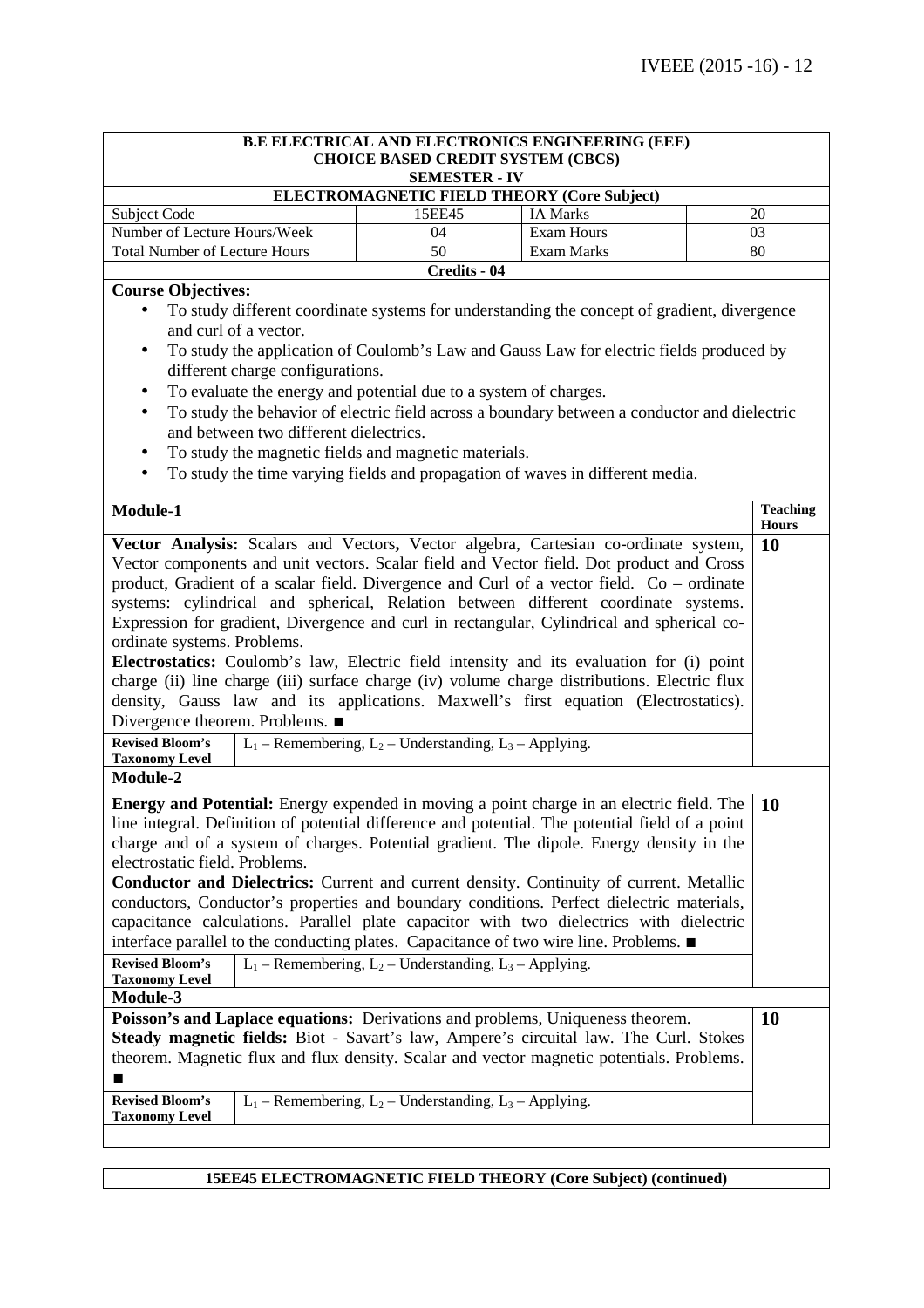| <b>B.E ELECTRICAL AND ELECTRONICS ENGINEERING (EEE)</b><br><b>CHOICE BASED CREDIT SYSTEM (CBCS)</b><br><b>SEMESTER - IV</b> |              |                 |    |  |
|-----------------------------------------------------------------------------------------------------------------------------|--------------|-----------------|----|--|
| <b>ELECTROMAGNETIC FIELD THEORY (Core Subject)</b>                                                                          |              |                 |    |  |
| Subject Code                                                                                                                | 15EE45       | <b>IA Marks</b> | 20 |  |
| Number of Lecture Hours/Week                                                                                                | 04           | Exam Hours      | 03 |  |
| Exam Marks<br><b>Total Number of Lecture Hours</b><br>80<br>50                                                              |              |                 |    |  |
|                                                                                                                             | Credits - 04 |                 |    |  |

# **Course Objectives:**

- To study different coordinate systems for understanding the concept of gradient, divergence and curl of a vector.
- To study the application of Coulomb's Law and Gauss Law for electric fields produced by different charge configurations.
- To evaluate the energy and potential due to a system of charges.
- To study the behavior of electric field across a boundary between a conductor and dielectric and between two different dielectrics.
- To study the magnetic fields and magnetic materials.
- To study the time varying fields and propagation of waves in different media.

| Module-1                                                                                                                                                                                                                                                                                                                                                                                                                                                                                                                                                                                                                                                                                                                                                                                                                     | <b>Teaching</b><br><b>Hours</b> |  |
|------------------------------------------------------------------------------------------------------------------------------------------------------------------------------------------------------------------------------------------------------------------------------------------------------------------------------------------------------------------------------------------------------------------------------------------------------------------------------------------------------------------------------------------------------------------------------------------------------------------------------------------------------------------------------------------------------------------------------------------------------------------------------------------------------------------------------|---------------------------------|--|
| Vector Analysis: Scalars and Vectors, Vector algebra, Cartesian co-ordinate system,<br>Vector components and unit vectors. Scalar field and Vector field. Dot product and Cross<br>product, Gradient of a scalar field. Divergence and Curl of a vector field. Co – ordinate<br>systems: cylindrical and spherical, Relation between different coordinate systems.<br>Expression for gradient, Divergence and curl in rectangular, Cylindrical and spherical co-<br>ordinate systems. Problems.<br><b>Electrostatics:</b> Coulomb's law, Electric field intensity and its evaluation for (i) point<br>charge (ii) line charge (iii) surface charge (iv) volume charge distributions. Electric flux<br>density, Gauss law and its applications. Maxwell's first equation (Electrostatics).<br>Divergence theorem. Problems. ■ | 10                              |  |
| <b>Revised Bloom's</b><br>$L_1$ – Remembering, $L_2$ – Understanding, $L_3$ – Applying.<br><b>Taxonomy Level</b>                                                                                                                                                                                                                                                                                                                                                                                                                                                                                                                                                                                                                                                                                                             |                                 |  |
| Module-2                                                                                                                                                                                                                                                                                                                                                                                                                                                                                                                                                                                                                                                                                                                                                                                                                     |                                 |  |
| <b>Energy and Potential:</b> Energy expended in moving a point charge in an electric field. The<br>line integral. Definition of potential difference and potential. The potential field of a point<br>charge and of a system of charges. Potential gradient. The dipole. Energy density in the<br>electrostatic field. Problems.<br>Conductor and Dielectrics: Current and current density. Continuity of current. Metallic<br>conductors, Conductor's properties and boundary conditions. Perfect dielectric materials,<br>capacitance calculations. Parallel plate capacitor with two dielectrics with dielectric<br>interface parallel to the conducting plates. Capacitance of two wire line. Problems. ■<br><b>Revised Bloom's</b><br>$L_1$ – Remembering, $L_2$ – Understanding, $L_3$ – Applying.                     |                                 |  |
| <b>Taxonomy Level</b><br>Module-3                                                                                                                                                                                                                                                                                                                                                                                                                                                                                                                                                                                                                                                                                                                                                                                            |                                 |  |
| Poisson's and Laplace equations: Derivations and problems, Uniqueness theorem.<br>Steady magnetic fields: Biot - Savart's law, Ampere's circuital law. The Curl. Stokes<br>theorem. Magnetic flux and flux density. Scalar and vector magnetic potentials. Problems.                                                                                                                                                                                                                                                                                                                                                                                                                                                                                                                                                         |                                 |  |
| <b>Revised Bloom's</b><br>$L_1$ – Remembering, $L_2$ – Understanding, $L_3$ – Applying.<br><b>Taxonomy Level</b>                                                                                                                                                                                                                                                                                                                                                                                                                                                                                                                                                                                                                                                                                                             |                                 |  |

### **15EE45 ELECTROMAGNETIC FIELD THEORY (Core Subject) (continued)**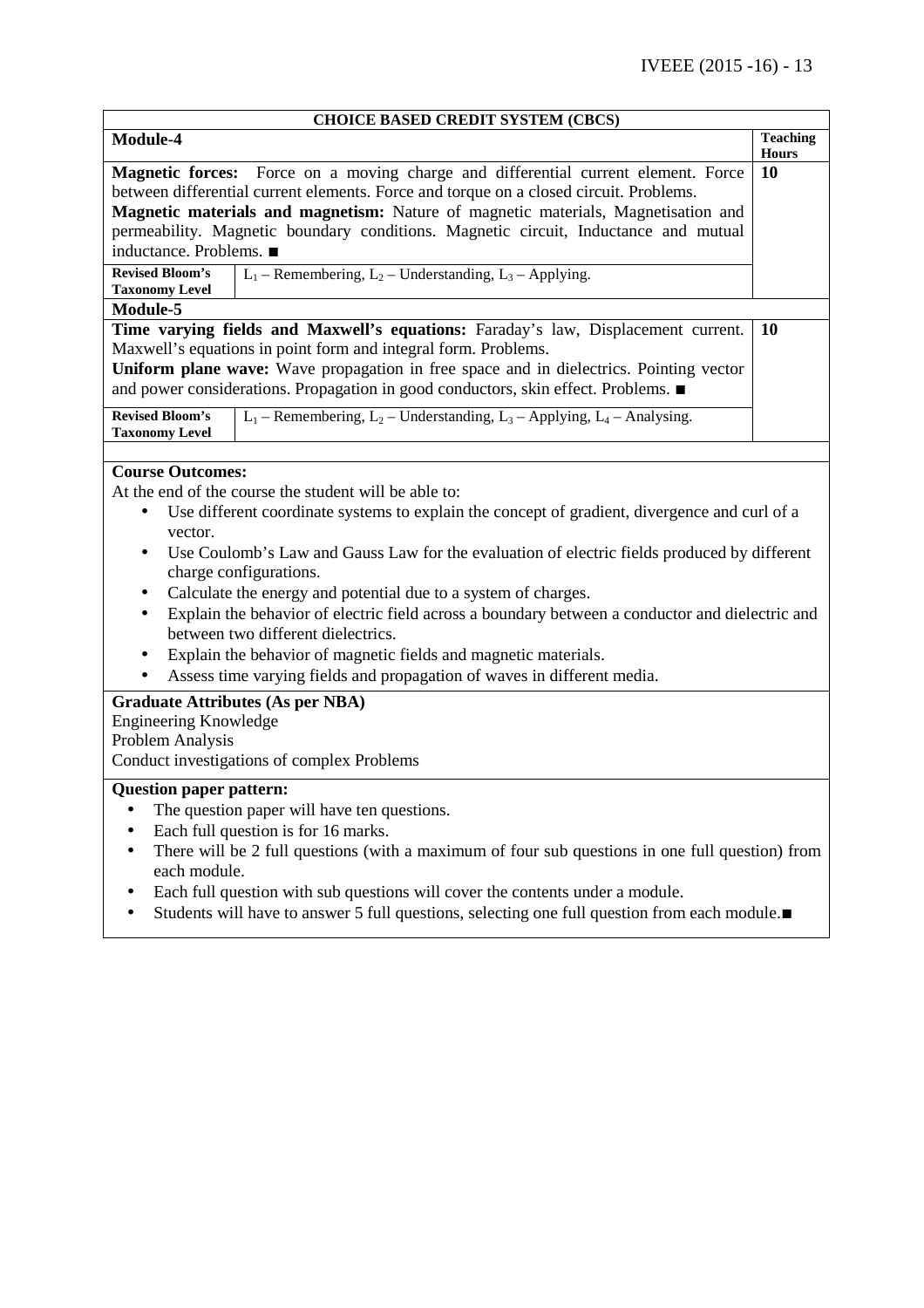| <b>CHOICE BASED CREDIT SYSTEM (CBCS)</b>                                                                     |                                                                                               |                    |  |  |  |
|--------------------------------------------------------------------------------------------------------------|-----------------------------------------------------------------------------------------------|--------------------|--|--|--|
| Module-4                                                                                                     |                                                                                               | <b>Teaching</b>    |  |  |  |
|                                                                                                              |                                                                                               | <b>Hours</b><br>10 |  |  |  |
| Magnetic forces: Force on a moving charge and differential current element. Force                            |                                                                                               |                    |  |  |  |
| between differential current elements. Force and torque on a closed circuit. Problems.                       |                                                                                               |                    |  |  |  |
|                                                                                                              | Magnetic materials and magnetism: Nature of magnetic materials, Magnetisation and             |                    |  |  |  |
|                                                                                                              | permeability. Magnetic boundary conditions. Magnetic circuit, Inductance and mutual           |                    |  |  |  |
| inductance. Problems. ■                                                                                      |                                                                                               |                    |  |  |  |
| <b>Revised Bloom's</b><br><b>Taxonomy Level</b>                                                              | $L_1$ – Remembering, $L_2$ – Understanding, $L_3$ – Applying.                                 |                    |  |  |  |
| Module-5                                                                                                     |                                                                                               |                    |  |  |  |
|                                                                                                              | Time varying fields and Maxwell's equations: Faraday's law, Displacement current.             | 10                 |  |  |  |
|                                                                                                              | Maxwell's equations in point form and integral form. Problems.                                |                    |  |  |  |
|                                                                                                              | Uniform plane wave: Wave propagation in free space and in dielectrics. Pointing vector        |                    |  |  |  |
|                                                                                                              | and power considerations. Propagation in good conductors, skin effect. Problems. ■            |                    |  |  |  |
| <b>Revised Bloom's</b>                                                                                       | $L_1$ – Remembering, $L_2$ – Understanding, $L_3$ – Applying, $L_4$ – Analysing.              |                    |  |  |  |
| <b>Taxonomy Level</b>                                                                                        |                                                                                               |                    |  |  |  |
|                                                                                                              |                                                                                               |                    |  |  |  |
| <b>Course Outcomes:</b>                                                                                      |                                                                                               |                    |  |  |  |
|                                                                                                              | At the end of the course the student will be able to:                                         |                    |  |  |  |
| $\bullet$                                                                                                    | Use different coordinate systems to explain the concept of gradient, divergence and curl of a |                    |  |  |  |
| vector.                                                                                                      |                                                                                               |                    |  |  |  |
| $\bullet$                                                                                                    | Use Coulomb's Law and Gauss Law for the evaluation of electric fields produced by different   |                    |  |  |  |
|                                                                                                              | charge configurations.                                                                        |                    |  |  |  |
|                                                                                                              | Calculate the energy and potential due to a system of charges.                                |                    |  |  |  |
| Explain the behavior of electric field across a boundary between a conductor and dielectric and<br>$\bullet$ |                                                                                               |                    |  |  |  |
|                                                                                                              | between two different dielectrics.                                                            |                    |  |  |  |
| Explain the behavior of magnetic fields and magnetic materials.<br>$\bullet$                                 |                                                                                               |                    |  |  |  |
| Assess time varying fields and propagation of waves in different media.                                      |                                                                                               |                    |  |  |  |
| <b>Graduate Attributes (As per NBA)</b>                                                                      |                                                                                               |                    |  |  |  |
| <b>Engineering Knowledge</b>                                                                                 |                                                                                               |                    |  |  |  |
| Problem Analysis                                                                                             |                                                                                               |                    |  |  |  |
|                                                                                                              | Conduct investigations of complex Problems                                                    |                    |  |  |  |
| <b>Question paper pattern:</b>                                                                               |                                                                                               |                    |  |  |  |
|                                                                                                              | The question paper will have ten questions.                                                   |                    |  |  |  |
| Each full question is for 16 marks.                                                                          |                                                                                               |                    |  |  |  |
| There will be 2 full questions (with a maximum of four sub questions in one full question) from              |                                                                                               |                    |  |  |  |
| each module.                                                                                                 |                                                                                               |                    |  |  |  |
| $\bullet$                                                                                                    | Each full question with sub questions will cover the contents under a module.                 |                    |  |  |  |

• Students will have to answer 5 full questions, selecting one full question from each module.∎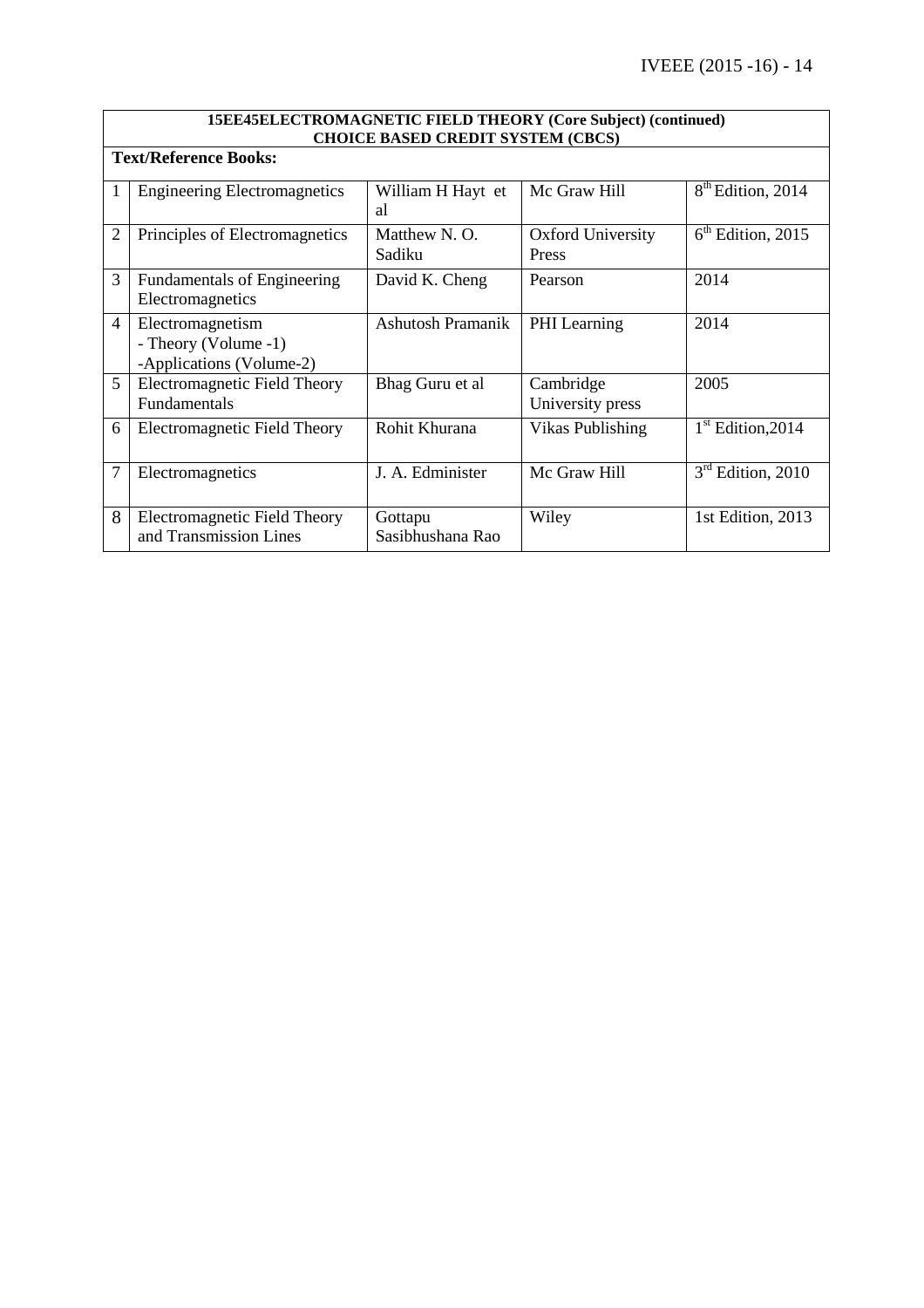|                | 15EE45ELECTROMAGNETIC FIELD THEORY (Core Subject) (continued)<br><b>CHOICE BASED CREDIT SYSTEM (CBCS)</b><br><b>Text/Reference Books:</b> |                             |                                   |                               |  |
|----------------|-------------------------------------------------------------------------------------------------------------------------------------------|-----------------------------|-----------------------------------|-------------------------------|--|
|                |                                                                                                                                           |                             |                                   |                               |  |
|                | <b>Engineering Electromagnetics</b>                                                                                                       | William H Hayt et<br>a1     | Mc Graw Hill                      | 8 <sup>th</sup> Edition, 2014 |  |
| $\overline{2}$ | Principles of Electromagnetics                                                                                                            | Matthew N.O.<br>Sadiku      | <b>Oxford University</b><br>Press | $6th$ Edition, 2015           |  |
| 3              | Fundamentals of Engineering<br>Electromagnetics                                                                                           | David K. Cheng              | Pearson                           | 2014                          |  |
| $\overline{4}$ | Electromagnetism<br>- Theory (Volume -1)<br>-Applications (Volume-2)                                                                      | <b>Ashutosh Pramanik</b>    | <b>PHI</b> Learning               | 2014                          |  |
| 5              | <b>Electromagnetic Field Theory</b><br>Fundamentals                                                                                       | Bhag Guru et al             | Cambridge<br>University press     | 2005                          |  |
| 6              | Electromagnetic Field Theory                                                                                                              | Rohit Khurana               | Vikas Publishing                  | $1st$ Edition, 2014           |  |
| 7              | Electromagnetics                                                                                                                          | J. A. Edminister            | Mc Graw Hill                      | $3rd$ Edition, 2010           |  |
| 8              | Electromagnetic Field Theory<br>and Transmission Lines                                                                                    | Gottapu<br>Sasibhushana Rao | Wiley                             | 1st Edition, 2013             |  |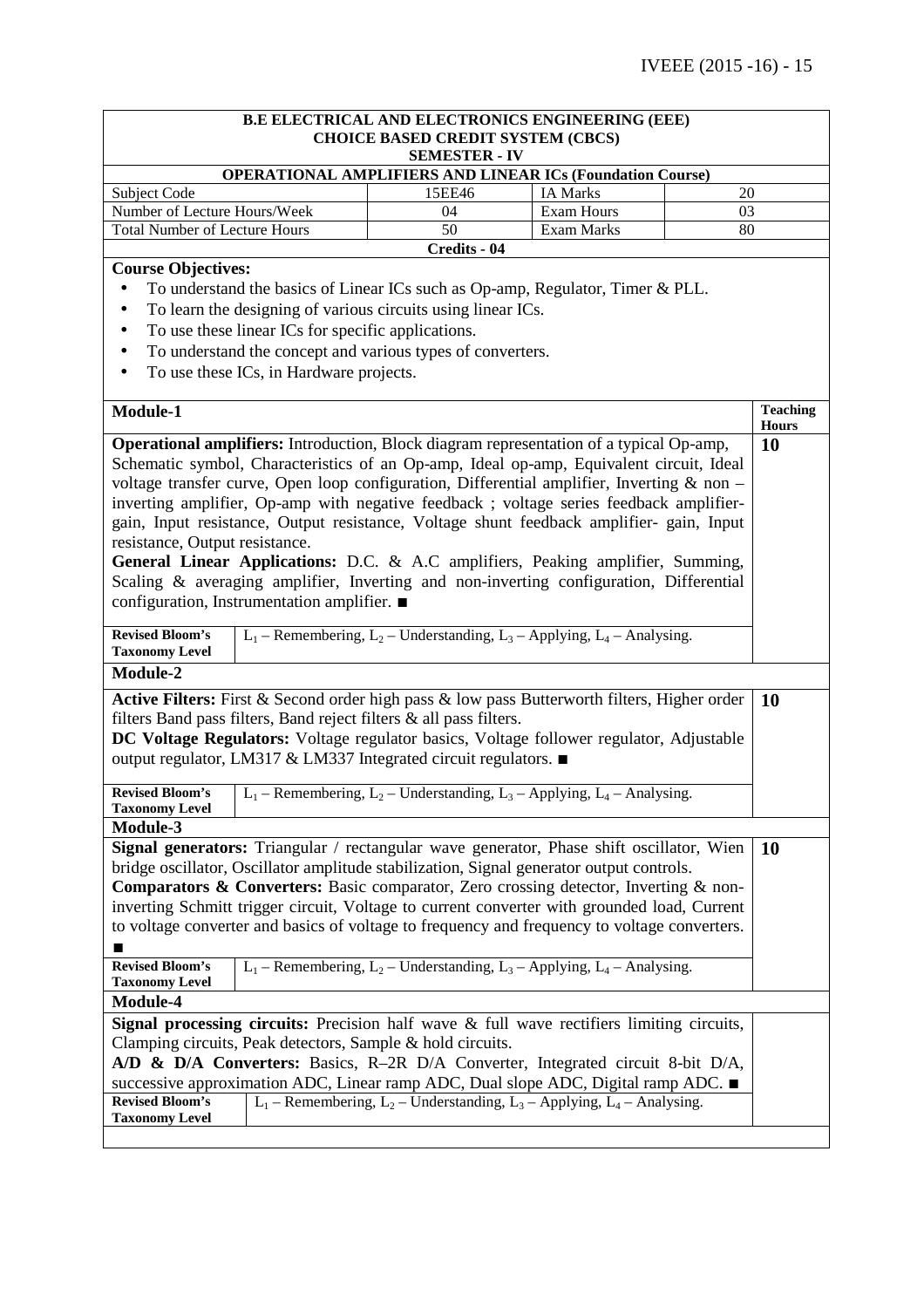| B.E ELECTRICAL AND ELECTRONICS ENGINEERING (EEE)                                                    |                                                                                      |                                                                                  |                                 |  |  |
|-----------------------------------------------------------------------------------------------------|--------------------------------------------------------------------------------------|----------------------------------------------------------------------------------|---------------------------------|--|--|
| <b>CHOICE BASED CREDIT SYSTEM (CBCS)</b>                                                            |                                                                                      |                                                                                  |                                 |  |  |
| <b>SEMESTER - IV</b><br><b>OPERATIONAL AMPLIFIERS AND LINEAR ICs (Foundation Course)</b>            |                                                                                      |                                                                                  |                                 |  |  |
| <b>Subject Code</b>                                                                                 | 15EE46                                                                               | <b>IA Marks</b>                                                                  | 20                              |  |  |
| Number of Lecture Hours/Week                                                                        | 04                                                                                   | Exam Hours                                                                       | 03                              |  |  |
| 50<br><b>Total Number of Lecture Hours</b><br>Exam Marks                                            |                                                                                      |                                                                                  | 80                              |  |  |
|                                                                                                     | Credits - 04                                                                         |                                                                                  |                                 |  |  |
| <b>Course Objectives:</b>                                                                           |                                                                                      |                                                                                  |                                 |  |  |
| To understand the basics of Linear ICs such as Op-amp, Regulator, Timer & PLL.<br>$\bullet$         |                                                                                      |                                                                                  |                                 |  |  |
| To learn the designing of various circuits using linear ICs.<br>$\bullet$                           |                                                                                      |                                                                                  |                                 |  |  |
| To use these linear ICs for specific applications.<br>٠                                             |                                                                                      |                                                                                  |                                 |  |  |
| To understand the concept and various types of converters.<br>$\bullet$                             |                                                                                      |                                                                                  |                                 |  |  |
| To use these ICs, in Hardware projects.<br>٠                                                        |                                                                                      |                                                                                  |                                 |  |  |
|                                                                                                     |                                                                                      |                                                                                  |                                 |  |  |
| Module-1                                                                                            |                                                                                      |                                                                                  | <b>Teaching</b><br><b>Hours</b> |  |  |
| Operational amplifiers: Introduction, Block diagram representation of a typical Op-amp,             |                                                                                      |                                                                                  | 10                              |  |  |
| Schematic symbol, Characteristics of an Op-amp, Ideal op-amp, Equivalent circuit, Ideal             |                                                                                      |                                                                                  |                                 |  |  |
| voltage transfer curve, Open loop configuration, Differential amplifier, Inverting & non -          |                                                                                      |                                                                                  |                                 |  |  |
| inverting amplifier, Op-amp with negative feedback; voltage series feedback amplifier-              |                                                                                      |                                                                                  |                                 |  |  |
| gain, Input resistance, Output resistance, Voltage shunt feedback amplifier- gain, Input            |                                                                                      |                                                                                  |                                 |  |  |
| resistance, Output resistance.                                                                      |                                                                                      |                                                                                  |                                 |  |  |
| General Linear Applications: D.C. & A.C amplifiers, Peaking amplifier, Summing,                     |                                                                                      |                                                                                  |                                 |  |  |
| Scaling & averaging amplifier, Inverting and non-inverting configuration, Differential              |                                                                                      |                                                                                  |                                 |  |  |
| configuration, Instrumentation amplifier. ■                                                         |                                                                                      |                                                                                  |                                 |  |  |
|                                                                                                     |                                                                                      |                                                                                  |                                 |  |  |
| <b>Revised Bloom's</b>                                                                              |                                                                                      | $L_1$ – Remembering, $L_2$ – Understanding, $L_3$ – Applying, $L_4$ – Analysing. |                                 |  |  |
| <b>Taxonomy Level</b><br>Module-2                                                                   |                                                                                      |                                                                                  |                                 |  |  |
|                                                                                                     |                                                                                      |                                                                                  |                                 |  |  |
| Active Filters: First & Second order high pass & low pass Butterworth filters, Higher order         |                                                                                      |                                                                                  | <b>10</b>                       |  |  |
| filters Band pass filters, Band reject filters & all pass filters.                                  |                                                                                      |                                                                                  |                                 |  |  |
| DC Voltage Regulators: Voltage regulator basics, Voltage follower regulator, Adjustable             |                                                                                      |                                                                                  |                                 |  |  |
| output regulator, LM317 & LM337 Integrated circuit regulators. ■                                    |                                                                                      |                                                                                  |                                 |  |  |
| <b>Revised Bloom's</b>                                                                              |                                                                                      | $L_1$ – Remembering, $L_2$ – Understanding, $L_3$ – Applying, $L_4$ – Analysing. |                                 |  |  |
| <b>Taxonomy Level</b>                                                                               |                                                                                      |                                                                                  |                                 |  |  |
| Module-3                                                                                            |                                                                                      |                                                                                  |                                 |  |  |
| Signal generators: Triangular / rectangular wave generator, Phase shift oscillator, Wien            |                                                                                      |                                                                                  | <b>10</b>                       |  |  |
| bridge oscillator, Oscillator amplitude stabilization, Signal generator output controls.            |                                                                                      |                                                                                  |                                 |  |  |
|                                                                                                     | Comparators & Converters: Basic comparator, Zero crossing detector, Inverting & non- |                                                                                  |                                 |  |  |
| inverting Schmitt trigger circuit, Voltage to current converter with grounded load, Current         |                                                                                      |                                                                                  |                                 |  |  |
| to voltage converter and basics of voltage to frequency and frequency to voltage converters.        |                                                                                      |                                                                                  |                                 |  |  |
|                                                                                                     |                                                                                      |                                                                                  |                                 |  |  |
| <b>Revised Bloom's</b>                                                                              |                                                                                      | $L_1$ – Remembering, $L_2$ – Understanding, $L_3$ – Applying, $L_4$ – Analysing. |                                 |  |  |
| <b>Taxonomy Level</b>                                                                               |                                                                                      |                                                                                  |                                 |  |  |
| Module-4                                                                                            |                                                                                      |                                                                                  |                                 |  |  |
| <b>Signal processing circuits:</b> Precision half wave $\&$ full wave rectifiers limiting circuits, |                                                                                      |                                                                                  |                                 |  |  |
| Clamping circuits, Peak detectors, Sample & hold circuits.                                          |                                                                                      |                                                                                  |                                 |  |  |
| $A/D \& D/A$ Converters: Basics, R-2R D/A Converter, Integrated circuit 8-bit D/A,                  |                                                                                      |                                                                                  |                                 |  |  |
| successive approximation ADC, Linear ramp ADC, Dual slope ADC, Digital ramp ADC. ■                  |                                                                                      |                                                                                  |                                 |  |  |
| <b>Revised Bloom's</b><br><b>Taxonomy Level</b>                                                     |                                                                                      | $L_1$ – Remembering, $L_2$ – Understanding, $L_3$ – Applying, $L_4$ – Analysing. |                                 |  |  |
|                                                                                                     |                                                                                      |                                                                                  |                                 |  |  |
|                                                                                                     |                                                                                      |                                                                                  |                                 |  |  |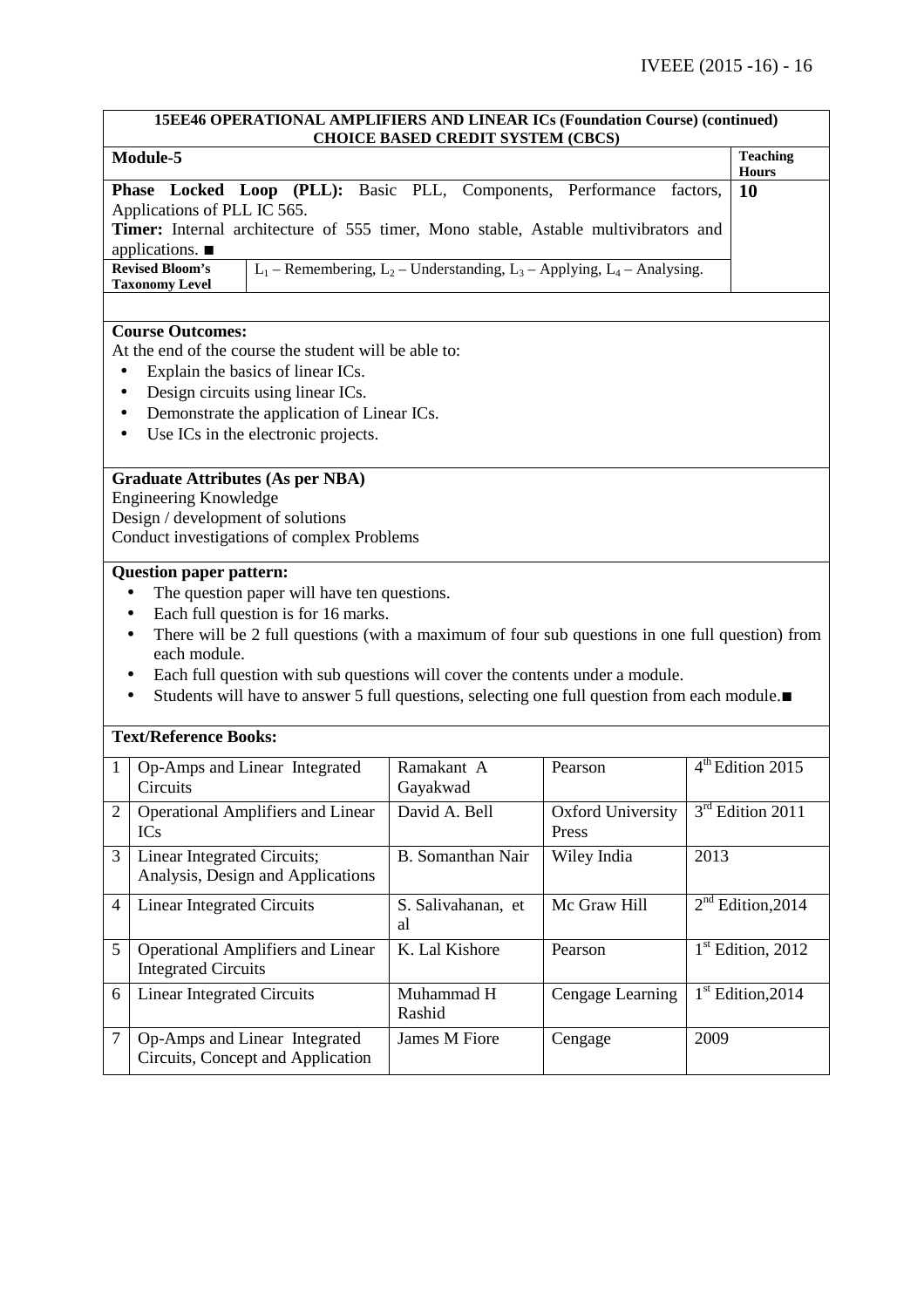| 15EE46 OPERATIONAL AMPLIFIERS AND LINEAR ICs (Foundation Course) (continued)<br><b>CHOICE BASED CREDIT SYSTEM (CBCS)</b>                                                                                                                                                                                                                                                                                                                             |                                                                                                                                                                                                                                                                              |                                                                                  |                                   |                                 |                              |  |
|------------------------------------------------------------------------------------------------------------------------------------------------------------------------------------------------------------------------------------------------------------------------------------------------------------------------------------------------------------------------------------------------------------------------------------------------------|------------------------------------------------------------------------------------------------------------------------------------------------------------------------------------------------------------------------------------------------------------------------------|----------------------------------------------------------------------------------|-----------------------------------|---------------------------------|------------------------------|--|
| Module-5                                                                                                                                                                                                                                                                                                                                                                                                                                             |                                                                                                                                                                                                                                                                              |                                                                                  |                                   | <b>Teaching</b><br><b>Hours</b> |                              |  |
|                                                                                                                                                                                                                                                                                                                                                                                                                                                      | Phase Locked Loop (PLL): Basic PLL, Components, Performance factors,<br>Applications of PLL IC 565.<br>Timer: Internal architecture of 555 timer, Mono stable, Astable multivibrators and<br>applications. $\blacksquare$<br><b>Revised Bloom's</b><br><b>Taxonomy Level</b> | $L_1$ – Remembering, $L_2$ – Understanding, $L_3$ – Applying, $L_4$ – Analysing. |                                   |                                 | 10                           |  |
| <b>Course Outcomes:</b><br>At the end of the course the student will be able to:<br>Explain the basics of linear ICs.<br>$\bullet$<br>Design circuits using linear ICs.<br>$\bullet$<br>Demonstrate the application of Linear ICs.<br>٠<br>Use ICs in the electronic projects.                                                                                                                                                                       |                                                                                                                                                                                                                                                                              |                                                                                  |                                   |                                 |                              |  |
|                                                                                                                                                                                                                                                                                                                                                                                                                                                      | <b>Graduate Attributes (As per NBA)</b><br><b>Engineering Knowledge</b><br>Design / development of solutions<br>Conduct investigations of complex Problems                                                                                                                   |                                                                                  |                                   |                                 |                              |  |
| <b>Question paper pattern:</b><br>The question paper will have ten questions.<br>Each full question is for 16 marks.<br>There will be 2 full questions (with a maximum of four sub questions in one full question) from<br>$\bullet$<br>each module.<br>Each full question with sub questions will cover the contents under a module.<br>Students will have to answer 5 full questions, selecting one full question from each module. $\blacksquare$ |                                                                                                                                                                                                                                                                              |                                                                                  |                                   |                                 |                              |  |
| <b>Text/Reference Books:</b>                                                                                                                                                                                                                                                                                                                                                                                                                         |                                                                                                                                                                                                                                                                              |                                                                                  |                                   |                                 |                              |  |
| 1                                                                                                                                                                                                                                                                                                                                                                                                                                                    | Op-Amps and Linear Integrated<br>Circuits                                                                                                                                                                                                                                    | Ramakant A<br>Gayakwad                                                           | Pearson                           |                                 | 4 <sup>th</sup> Edition 2015 |  |
| $\mathbf{2}$                                                                                                                                                                                                                                                                                                                                                                                                                                         | <b>Operational Amplifiers and Linear</b><br>ICs                                                                                                                                                                                                                              | David A. Bell                                                                    | <b>Oxford University</b><br>Press |                                 | $3rd$ Edition 2011           |  |
| 3                                                                                                                                                                                                                                                                                                                                                                                                                                                    | Linear Integrated Circuits;<br>Analysis, Design and Applications                                                                                                                                                                                                             | B. Somanthan Nair                                                                | Wiley India                       | 2013                            |                              |  |
| 4                                                                                                                                                                                                                                                                                                                                                                                                                                                    | <b>Linear Integrated Circuits</b>                                                                                                                                                                                                                                            | S. Salivahanan, et<br>al                                                         | Mc Graw Hill                      |                                 | $2nd$ Edition, 2014          |  |
| 5                                                                                                                                                                                                                                                                                                                                                                                                                                                    | <b>Operational Amplifiers and Linear</b><br><b>Integrated Circuits</b>                                                                                                                                                                                                       | K. Lal Kishore                                                                   | Pearson                           |                                 | $1st$ Edition, 2012          |  |
| 6                                                                                                                                                                                                                                                                                                                                                                                                                                                    | <b>Linear Integrated Circuits</b>                                                                                                                                                                                                                                            | Muhammad H<br>Rashid                                                             | Cengage Learning                  |                                 | $1st$ Edition, 2014          |  |
| $\tau$                                                                                                                                                                                                                                                                                                                                                                                                                                               | Op-Amps and Linear Integrated<br>Circuits, Concept and Application                                                                                                                                                                                                           | James M Fiore                                                                    | Cengage                           | 2009                            |                              |  |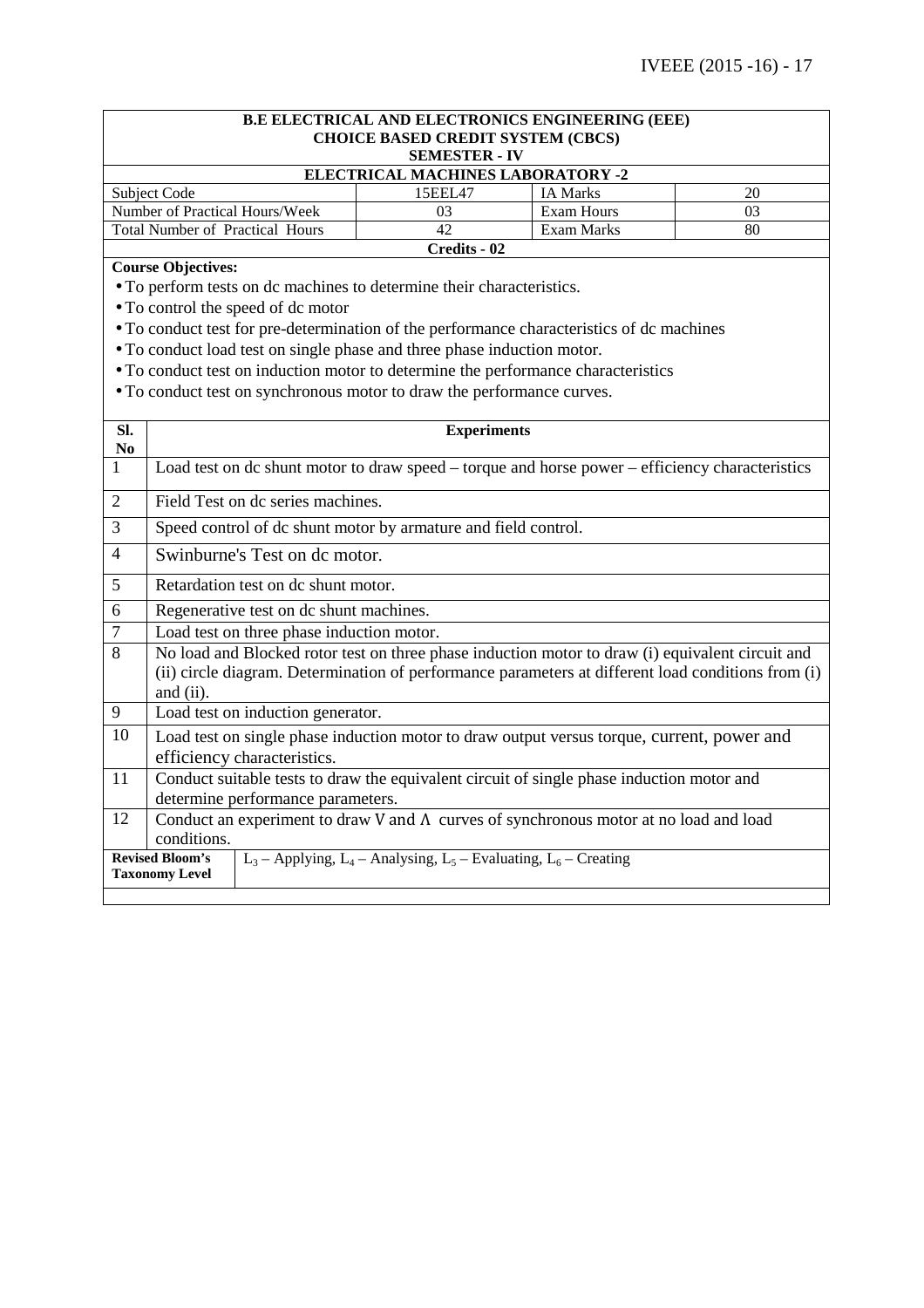# **B.E ELECTRICAL AND ELECTRONICS ENGINEERING (EEE) CHOICE BASED CREDIT SYSTEM (CBCS) SEMESTER - IV ELECTRICAL MACHINES LABORATORY -2** Subject Code 15EEL47 | IA Marks 20 Number of Practical Hours/Week 03 Exam Hours 03<br>
Total Number of Practical Hours 42 Exam Marks 80 Total Number of Practical Hours 42 Exam Marks 80 **Credits - 02 Course Objectives:**  • To perform tests on dc machines to determine their characteristics. • To control the speed of dc motor • To conduct test for pre-determination of the performance characteristics of dc machines • To conduct load test on single phase and three phase induction motor. • To conduct test on induction motor to determine the performance characteristics • To conduct test on synchronous motor to draw the performance curves. **Sl. No Experiments**  1 Load test on dc shunt motor to draw speed – torque and horse power – efficiency characteristics 2 Field Test on dc series machines. 3 Speed control of dc shunt motor by armature and field control. 4 Swinburne's Test on dc motor. 5 Retardation test on dc shunt motor. 6 Regenerative test on dc shunt machines. 7 Load test on three phase induction motor. 8 No load and Blocked rotor test on three phase induction motor to draw (i) equivalent circuit and (ii) circle diagram. Determination of performance parameters at different load conditions from (i) and (ii). 9 | Load test on induction generator. 10 Load test on single phase induction motor to draw output versus torque, current, power and efficiency characteristics. 11 Conduct suitable tests to draw the equivalent circuit of single phase induction motor and determine performance parameters. 12 Conduct an experiment to draw V and Λ curves of synchronous motor at no load and load conditions. **Revised Bloom's Taxonomy Level**  $L_3$  – Applying,  $L_4$  – Analysing,  $L_5$  – Evaluating,  $L_6$  – Creating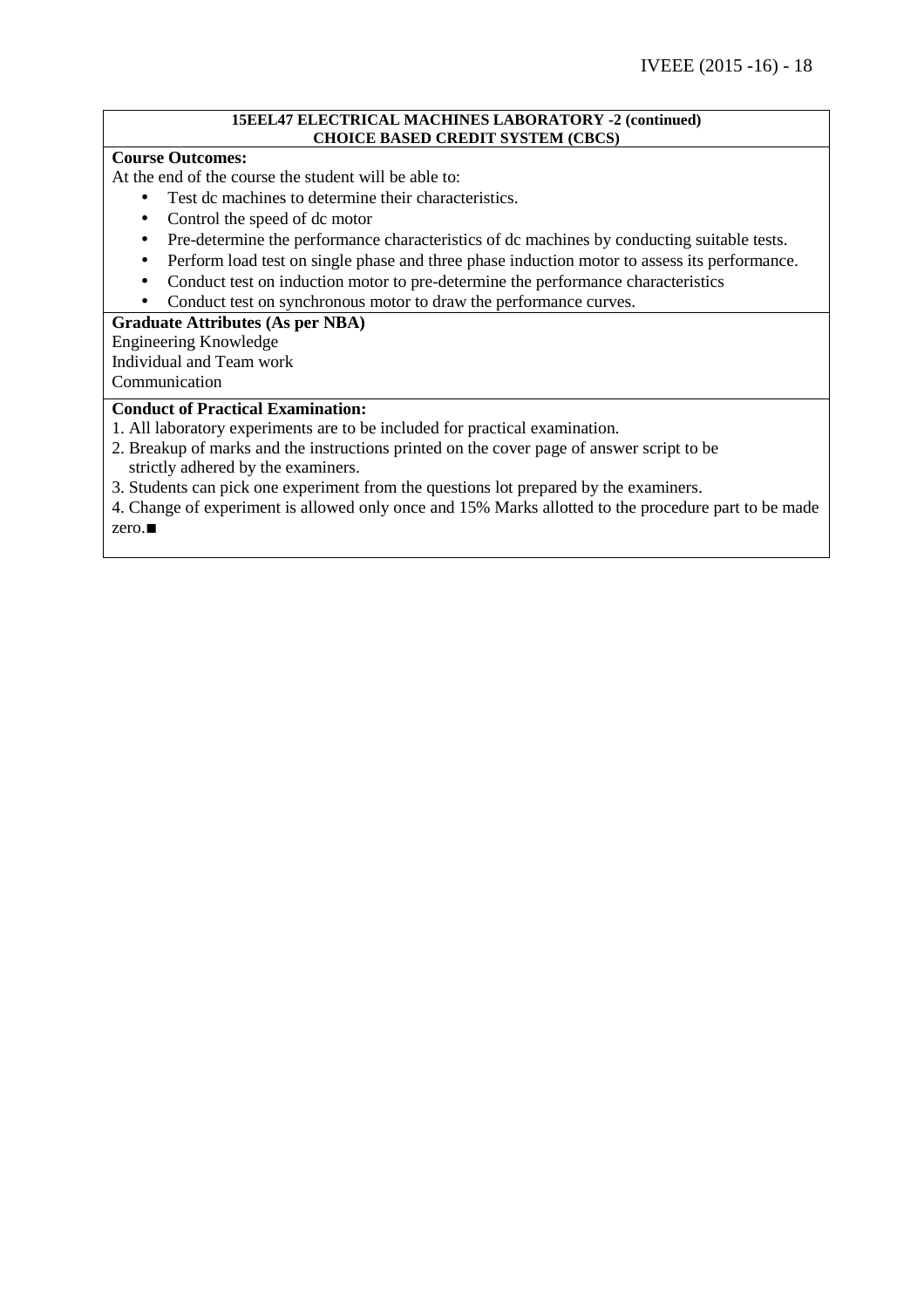#### **15EEL47 ELECTRICAL MACHINES LABORATORY -2 (continued) CHOICE BASED CREDIT SYSTEM (CBCS)**

### **Course Outcomes:**

At the end of the course the student will be able to:

- Test dc machines to determine their characteristics.
- Control the speed of dc motor
- Pre-determine the performance characteristics of dc machines by conducting suitable tests.
- Perform load test on single phase and three phase induction motor to assess its performance.
- Conduct test on induction motor to pre-determine the performance characteristics
- Conduct test on synchronous motor to draw the performance curves.

## **Graduate Attributes (As per NBA)**

Engineering Knowledge Individual and Team work

Communication

# **Conduct of Practical Examination:**

- 1. All laboratory experiments are to be included for practical examination.
- 2. Breakup of marks and the instructions printed on the cover page of answer script to be strictly adhered by the examiners.
- 3. Students can pick one experiment from the questions lot prepared by the examiners.
- 4. Change of experiment is allowed only once and 15% Marks allotted to the procedure part to be made zero.∎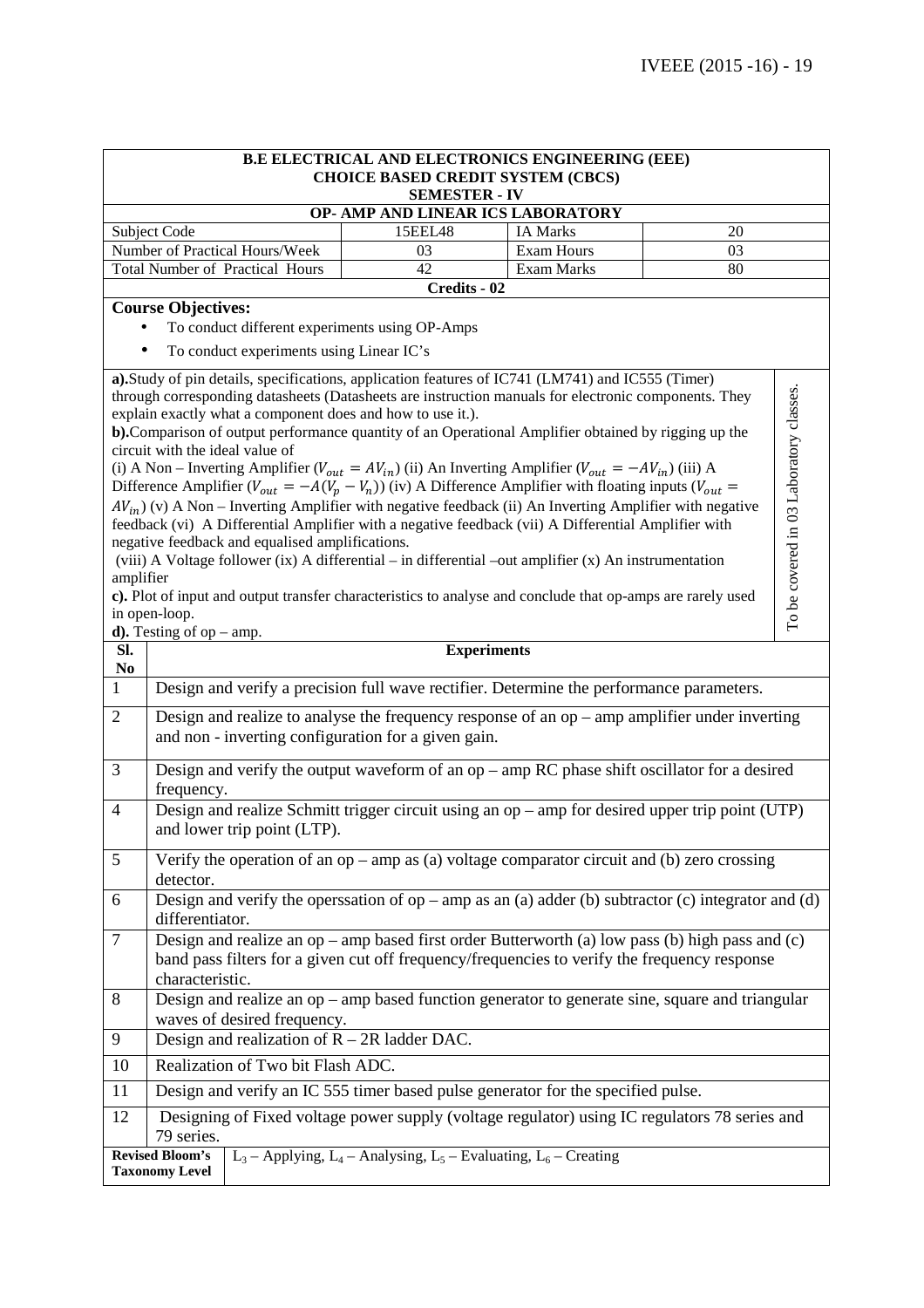| <b>B.E ELECTRICAL AND ELECTRONICS ENGINEERING (EEE)</b><br><b>CHOICE BASED CREDIT SYSTEM (CBCS)</b> |                                                                                                                                                                                                                                                                                                                                                                                 |              |                                 |    |                                         |  |
|-----------------------------------------------------------------------------------------------------|---------------------------------------------------------------------------------------------------------------------------------------------------------------------------------------------------------------------------------------------------------------------------------------------------------------------------------------------------------------------------------|--------------|---------------------------------|----|-----------------------------------------|--|
| <b>SEMESTER - IV</b>                                                                                |                                                                                                                                                                                                                                                                                                                                                                                 |              |                                 |    |                                         |  |
| OP- AMP AND LINEAR ICS LABORATORY                                                                   |                                                                                                                                                                                                                                                                                                                                                                                 |              |                                 |    |                                         |  |
|                                                                                                     | Subject Code                                                                                                                                                                                                                                                                                                                                                                    | 15EEL48      | <b>IA Marks</b>                 | 20 |                                         |  |
|                                                                                                     | Number of Practical Hours/Week<br><b>Total Number of Practical Hours</b>                                                                                                                                                                                                                                                                                                        | 03<br>42     | <b>Exam Hours</b><br>Exam Marks | 03 |                                         |  |
|                                                                                                     |                                                                                                                                                                                                                                                                                                                                                                                 | Credits - 02 |                                 | 80 |                                         |  |
|                                                                                                     | <b>Course Objectives:</b>                                                                                                                                                                                                                                                                                                                                                       |              |                                 |    |                                         |  |
|                                                                                                     | To conduct different experiments using OP-Amps                                                                                                                                                                                                                                                                                                                                  |              |                                 |    |                                         |  |
|                                                                                                     | To conduct experiments using Linear IC's                                                                                                                                                                                                                                                                                                                                        |              |                                 |    |                                         |  |
|                                                                                                     | a). Study of pin details, specifications, application features of IC741 (LM741) and IC555 (Timer)<br>through corresponding datasheets (Datasheets are instruction manuals for electronic components. They<br>explain exactly what a component does and how to use it.).<br>b). Comparison of output performance quantity of an Operational Amplifier obtained by rigging up the |              |                                 |    | To be covered in 03 Laboratory classes. |  |
|                                                                                                     | circuit with the ideal value of<br>(i) A Non – Inverting Amplifier ( $V_{out} = AV_{in}$ ) (ii) An Inverting Amplifier ( $V_{out} = -AV_{in}$ ) (iii) A                                                                                                                                                                                                                         |              |                                 |    |                                         |  |
|                                                                                                     | Difference Amplifier ( $V_{out} = -A(V_p - V_n)$ ) (iv) A Difference Amplifier with floating inputs ( $V_{out}$ =                                                                                                                                                                                                                                                               |              |                                 |    |                                         |  |
|                                                                                                     | $AV_{in}$ ) (v) A Non – Inverting Amplifier with negative feedback (ii) An Inverting Amplifier with negative<br>feedback (vi) A Differential Amplifier with a negative feedback (vii) A Differential Amplifier with                                                                                                                                                             |              |                                 |    |                                         |  |
|                                                                                                     | negative feedback and equalised amplifications.<br>(viii) A Voltage follower (ix) A differential – in differential –out amplifier (x) An instrumentation                                                                                                                                                                                                                        |              |                                 |    |                                         |  |
| amplifier                                                                                           | c). Plot of input and output transfer characteristics to analyse and conclude that op-amps are rarely used                                                                                                                                                                                                                                                                      |              |                                 |    |                                         |  |
|                                                                                                     | in open-loop.                                                                                                                                                                                                                                                                                                                                                                   |              |                                 |    |                                         |  |
|                                                                                                     | <b>d).</b> Testing of op $-$ amp.                                                                                                                                                                                                                                                                                                                                               |              |                                 |    |                                         |  |
| SI.<br>N <sub>0</sub>                                                                               | <b>Experiments</b>                                                                                                                                                                                                                                                                                                                                                              |              |                                 |    |                                         |  |
| $\mathbf{1}$                                                                                        | Design and verify a precision full wave rectifier. Determine the performance parameters.                                                                                                                                                                                                                                                                                        |              |                                 |    |                                         |  |
| $\overline{2}$                                                                                      | Design and realize to analyse the frequency response of an $op -$ amp amplifier under inverting<br>and non - inverting configuration for a given gain.                                                                                                                                                                                                                          |              |                                 |    |                                         |  |
| 3                                                                                                   | Design and verify the output waveform of an $op -$ amp RC phase shift oscillator for a desired                                                                                                                                                                                                                                                                                  |              |                                 |    |                                         |  |
| $\overline{4}$                                                                                      | frequency.<br>Design and realize Schmitt trigger circuit using an op - amp for desired upper trip point (UTP)<br>and lower trip point (LTP).                                                                                                                                                                                                                                    |              |                                 |    |                                         |  |
| 5                                                                                                   | Verify the operation of an $op -$ amp as (a) voltage comparator circuit and (b) zero crossing                                                                                                                                                                                                                                                                                   |              |                                 |    |                                         |  |
|                                                                                                     | detector.                                                                                                                                                                                                                                                                                                                                                                       |              |                                 |    |                                         |  |
| 6                                                                                                   | Design and verify the operssation of $op -$ amp as an (a) adder (b) subtractor (c) integrator and (d)<br>differentiator.                                                                                                                                                                                                                                                        |              |                                 |    |                                         |  |
| $\tau$                                                                                              | Design and realize an $op$ – amp based first order Butterworth (a) low pass (b) high pass and (c)                                                                                                                                                                                                                                                                               |              |                                 |    |                                         |  |
|                                                                                                     | band pass filters for a given cut off frequency/frequencies to verify the frequency response<br>characteristic.                                                                                                                                                                                                                                                                 |              |                                 |    |                                         |  |
| 8                                                                                                   | Design and realize an op - amp based function generator to generate sine, square and triangular<br>waves of desired frequency.                                                                                                                                                                                                                                                  |              |                                 |    |                                         |  |
| Design and realization of $R - 2R$ ladder DAC.<br>9                                                 |                                                                                                                                                                                                                                                                                                                                                                                 |              |                                 |    |                                         |  |
| 10                                                                                                  | Realization of Two bit Flash ADC.                                                                                                                                                                                                                                                                                                                                               |              |                                 |    |                                         |  |
| 11                                                                                                  | Design and verify an IC 555 timer based pulse generator for the specified pulse.                                                                                                                                                                                                                                                                                                |              |                                 |    |                                         |  |
| 12                                                                                                  | Designing of Fixed voltage power supply (voltage regulator) using IC regulators 78 series and<br>79 series.                                                                                                                                                                                                                                                                     |              |                                 |    |                                         |  |
|                                                                                                     | <b>Revised Bloom's</b><br>$L_3$ – Applying, $L_4$ – Analysing, $L_5$ – Evaluating, $L_6$ – Creating<br><b>Taxonomy Level</b>                                                                                                                                                                                                                                                    |              |                                 |    |                                         |  |